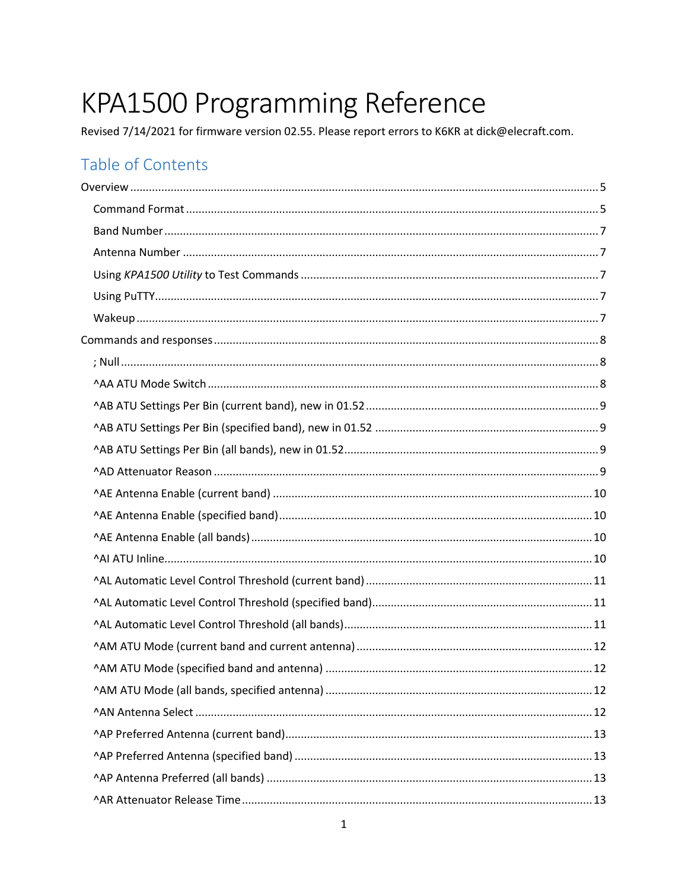# KPA1500 Programming Reference

Revised 7/14/2021 for firmware version 02.55. Please report errors to K6KR at dick@elecraft.com.

# Table of Contents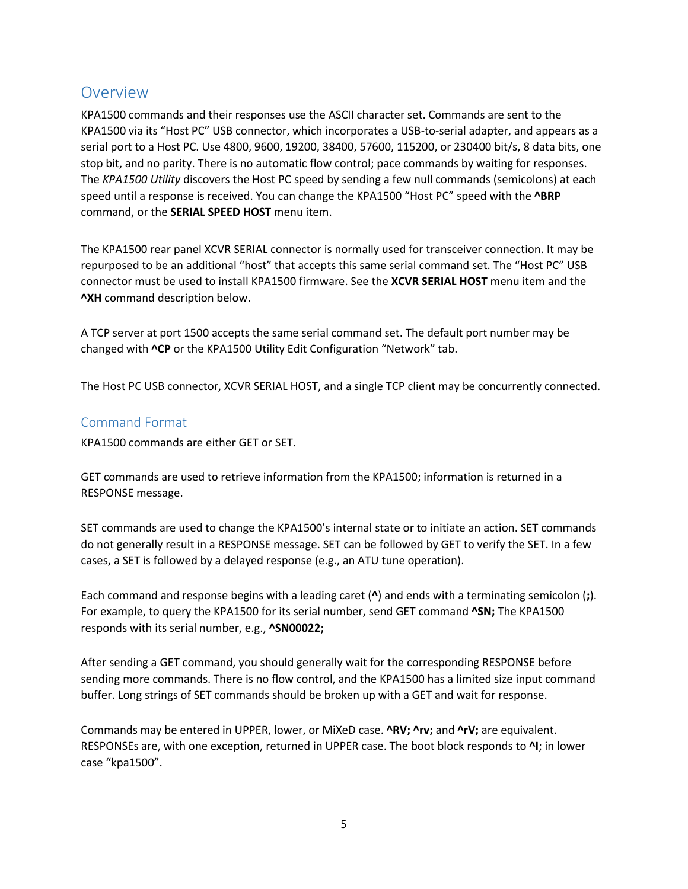# <span id="page-4-0"></span>Overview

KPA1500 commands and their responses use the ASCII character set. Commands are sent to the KPA1500 via its "Host PC" USB connector, which incorporates a USB-to-serial adapter, and appears as a serial port to a Host PC. Use 4800, 9600, 19200, 38400, 57600, 115200, or 230400 bit/s, 8 data bits, one stop bit, and no parity. There is no automatic flow control; pace commands by waiting for responses. The *KPA1500 Utility* discovers the Host PC speed by sending a few null commands (semicolons) at each speed until a response is received. You can change the KPA1500 "Host PC" speed with the **^BRP** command, or the **SERIAL SPEED HOST** menu item.

The KPA1500 rear panel XCVR SERIAL connector is normally used for transceiver connection. It may be repurposed to be an additional "host" that accepts this same serial command set. The "Host PC" USB connector must be used to install KPA1500 firmware. See the **XCVR SERIAL HOST** menu item and the **^XH** command description below.

A TCP server at port 1500 accepts the same serial command set. The default port number may be changed with **^CP** or the KPA1500 Utility Edit Configuration "Network" tab.

The Host PC USB connector, XCVR SERIAL HOST, and a single TCP client may be concurrently connected.

#### <span id="page-4-1"></span>Command Format

KPA1500 commands are either GET or SET.

GET commands are used to retrieve information from the KPA1500; information is returned in a RESPONSE message.

SET commands are used to change the KPA1500's internal state or to initiate an action. SET commands do not generally result in a RESPONSE message. SET can be followed by GET to verify the SET. In a few cases, a SET is followed by a delayed response (e.g., an ATU tune operation).

Each command and response begins with a leading caret (**^**) and ends with a terminating semicolon (**;**). For example, to query the KPA1500 for its serial number, send GET command **^SN;** The KPA1500 responds with its serial number, e.g., **^SN00022;**

After sending a GET command, you should generally wait for the corresponding RESPONSE before sending more commands. There is no flow control, and the KPA1500 has a limited size input command buffer. Long strings of SET commands should be broken up with a GET and wait for response.

Commands may be entered in UPPER, lower, or MiXeD case. **^RV; ^rv;** and **^rV;** are equivalent. RESPONSEs are, with one exception, returned in UPPER case. The boot block responds to **^I**; in lower case "kpa1500".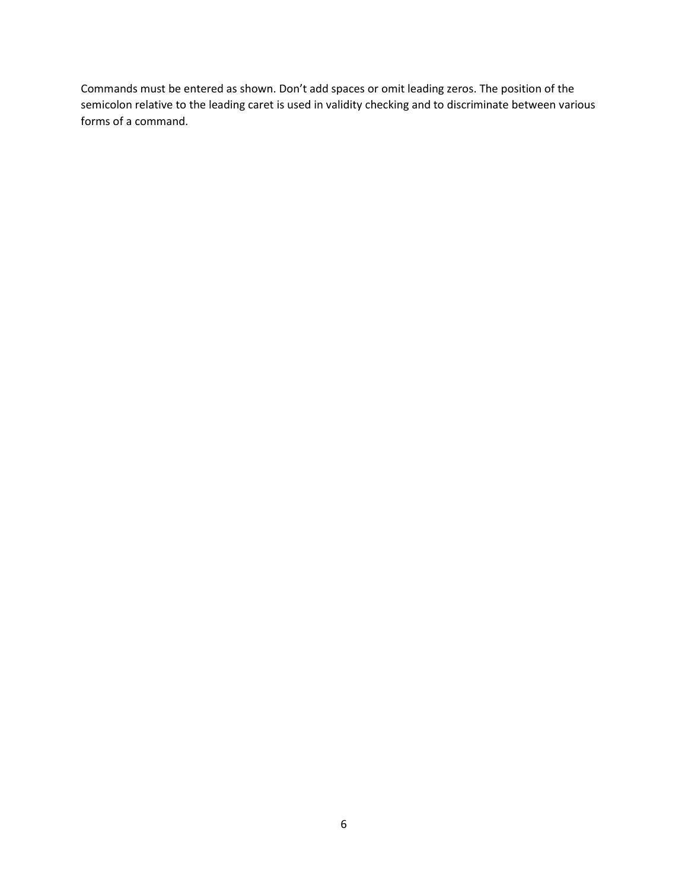Commands must be entered as shown. Don't add spaces or omit leading zeros. The position of the semicolon relative to the leading caret is used in validity checking and to discriminate between various forms of a command.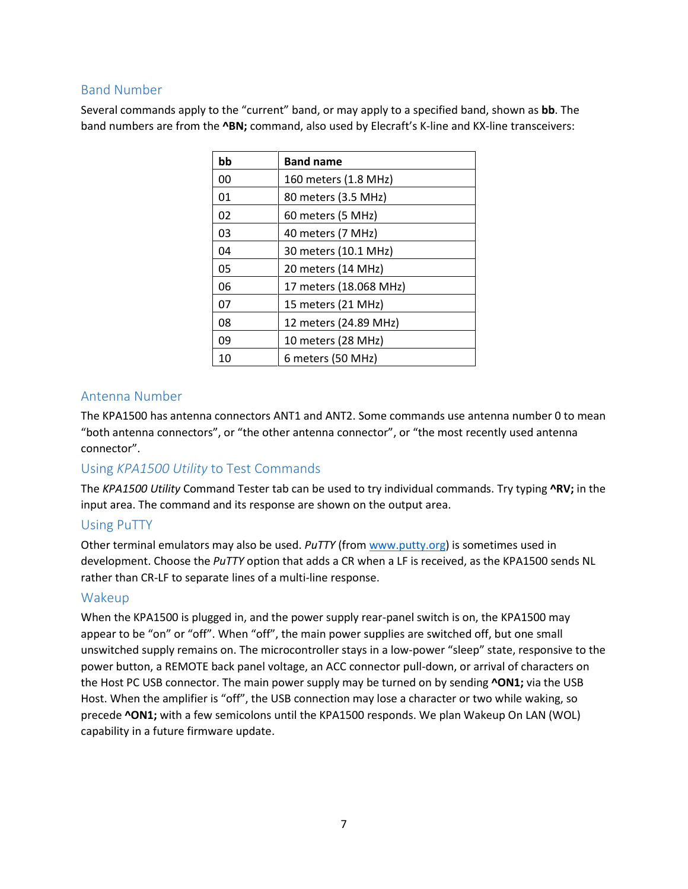## <span id="page-6-0"></span>Band Number

Several commands apply to the "current" band, or may apply to a specified band, shown as **bb**. The band numbers are from the **^BN;** command, also used by Elecraft's K-line and KX-line transceivers:

| bb | <b>Band name</b>       |
|----|------------------------|
| 00 | 160 meters (1.8 MHz)   |
| 01 | 80 meters (3.5 MHz)    |
| 02 | 60 meters (5 MHz)      |
| 03 | 40 meters (7 MHz)      |
| 04 | 30 meters (10.1 MHz)   |
| 05 | 20 meters (14 MHz)     |
| 06 | 17 meters (18.068 MHz) |
| 07 | 15 meters (21 MHz)     |
| 08 | 12 meters (24.89 MHz)  |
| 09 | 10 meters (28 MHz)     |
| 10 | 6 meters (50 MHz)      |

## <span id="page-6-1"></span>Antenna Number

The KPA1500 has antenna connectors ANT1 and ANT2. Some commands use antenna number 0 to mean "both antenna connectors", or "the other antenna connector", or "the most recently used antenna connector".

## <span id="page-6-2"></span>Using *KPA1500 Utility* to Test Commands

The *KPA1500 Utility* Command Tester tab can be used to try individual commands. Try typing **^RV;** in the input area. The command and its response are shown on the output area.

#### <span id="page-6-3"></span>Using PuTTY

Other terminal emulators may also be used. *PuTTY* (fro[m www.putty.org\)](http://www.putty.org/) is sometimes used in development. Choose the *PuTTY* option that adds a CR when a LF is received, as the KPA1500 sends NL rather than CR-LF to separate lines of a multi-line response.

#### <span id="page-6-4"></span>Wakeup

When the KPA1500 is plugged in, and the power supply rear-panel switch is on, the KPA1500 may appear to be "on" or "off". When "off", the main power supplies are switched off, but one small unswitched supply remains on. The microcontroller stays in a low-power "sleep" state, responsive to the power button, a REMOTE back panel voltage, an ACC connector pull-down, or arrival of characters on the Host PC USB connector. The main power supply may be turned on by sending **^ON1;** via the USB Host. When the amplifier is "off", the USB connection may lose a character or two while waking, so precede **^ON1;** with a few semicolons until the KPA1500 responds. We plan Wakeup On LAN (WOL) capability in a future firmware update.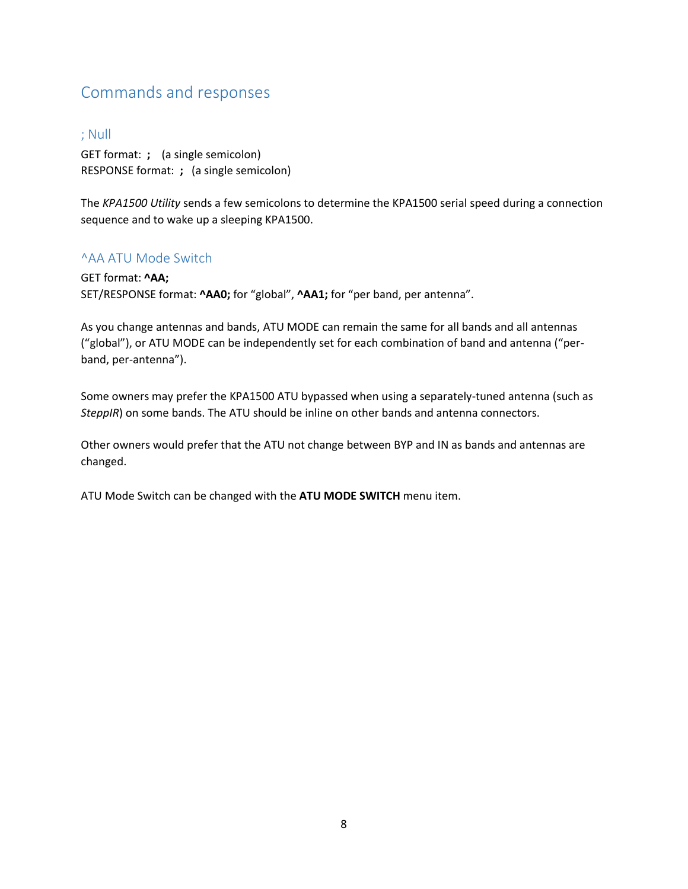# <span id="page-7-0"></span>Commands and responses

#### <span id="page-7-1"></span>; Null

GET format: **;** (a single semicolon) RESPONSE format: **;** (a single semicolon)

The *KPA1500 Utility* sends a few semicolons to determine the KPA1500 serial speed during a connection sequence and to wake up a sleeping KPA1500.

#### <span id="page-7-2"></span>^AA ATU Mode Switch

GET format: **^AA;** SET/RESPONSE format: **^AA0;** for "global", **^AA1;** for "per band, per antenna".

As you change antennas and bands, ATU MODE can remain the same for all bands and all antennas ("global"), or ATU MODE can be independently set for each combination of band and antenna ("perband, per-antenna").

Some owners may prefer the KPA1500 ATU bypassed when using a separately-tuned antenna (such as *SteppIR*) on some bands. The ATU should be inline on other bands and antenna connectors.

Other owners would prefer that the ATU not change between BYP and IN as bands and antennas are changed.

ATU Mode Switch can be changed with the **ATU MODE SWITCH** menu item.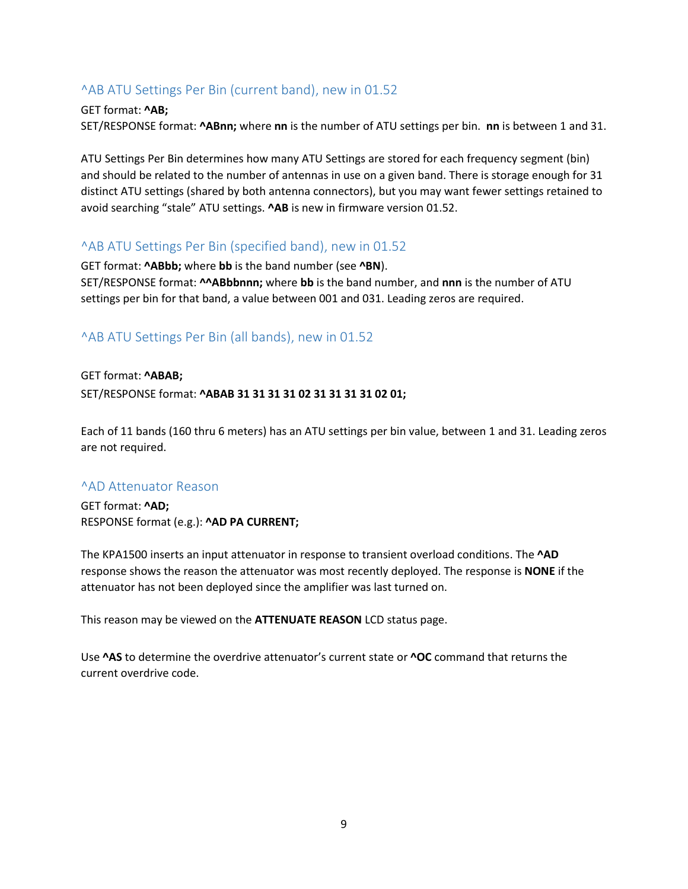## <span id="page-8-0"></span>^AB ATU Settings Per Bin (current band), new in 01.52

#### GET format: **^AB;**

SET/RESPONSE format: **^ABnn;** where **nn** is the number of ATU settings per bin. **nn** is between 1 and 31.

ATU Settings Per Bin determines how many ATU Settings are stored for each frequency segment (bin) and should be related to the number of antennas in use on a given band. There is storage enough for 31 distinct ATU settings (shared by both antenna connectors), but you may want fewer settings retained to avoid searching "stale" ATU settings. **^AB** is new in firmware version 01.52.

#### <span id="page-8-1"></span>^AB ATU Settings Per Bin (specified band), new in 01.52

GET format: **^ABbb;** where **bb** is the band number (see **^BN**). SET/RESPONSE format: **^^ABbbnnn;** where **bb** is the band number, and **nnn** is the number of ATU settings per bin for that band, a value between 001 and 031. Leading zeros are required.

#### <span id="page-8-2"></span>^AB ATU Settings Per Bin (all bands), new in 01.52

## GET format: **^ABAB;** SET/RESPONSE format: **^ABAB 31 31 31 31 02 31 31 31 31 02 01;**

Each of 11 bands (160 thru 6 meters) has an ATU settings per bin value, between 1 and 31. Leading zeros are not required.

#### <span id="page-8-3"></span>^AD Attenuator Reason

GET format: **^AD;** RESPONSE format (e.g.): **^AD PA CURRENT;**

The KPA1500 inserts an input attenuator in response to transient overload conditions. The **^AD** response shows the reason the attenuator was most recently deployed. The response is **NONE** if the attenuator has not been deployed since the amplifier was last turned on.

This reason may be viewed on the **ATTENUATE REASON** LCD status page.

Use **^AS** to determine the overdrive attenuator's current state or **^OC** command that returns the current overdrive code.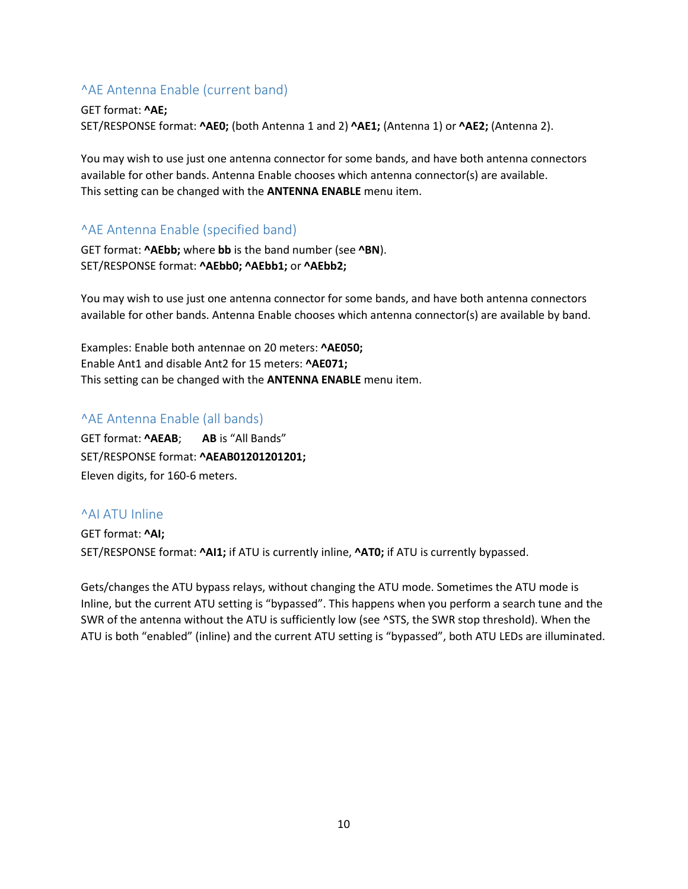## <span id="page-9-0"></span>^AE Antenna Enable (current band)

GET format: **^AE;** SET/RESPONSE format: **^AE0;** (both Antenna 1 and 2) **^AE1;** (Antenna 1) or **^AE2;** (Antenna 2).

You may wish to use just one antenna connector for some bands, and have both antenna connectors available for other bands. Antenna Enable chooses which antenna connector(s) are available. This setting can be changed with the **ANTENNA ENABLE** menu item.

## <span id="page-9-1"></span>^AE Antenna Enable (specified band)

GET format: **^AEbb;** where **bb** is the band number (see **^BN**). SET/RESPONSE format: **^AEbb0; ^AEbb1;** or **^AEbb2;**

You may wish to use just one antenna connector for some bands, and have both antenna connectors available for other bands. Antenna Enable chooses which antenna connector(s) are available by band.

Examples: Enable both antennae on 20 meters: **^AE050;** Enable Ant1 and disable Ant2 for 15 meters: **^AE071;** This setting can be changed with the **ANTENNA ENABLE** menu item.

#### <span id="page-9-2"></span>^AE Antenna Enable (all bands)

GET format: **^AEAB**; **AB** is "All Bands" SET/RESPONSE format: **^AEAB01201201201;** Eleven digits, for 160-6 meters.

#### <span id="page-9-3"></span>^AI ATU Inline

GET format: **^AI;** SET/RESPONSE format: **^AI1;** if ATU is currently inline, **^AT0;** if ATU is currently bypassed.

Gets/changes the ATU bypass relays, without changing the ATU mode. Sometimes the ATU mode is Inline, but the current ATU setting is "bypassed". This happens when you perform a search tune and the SWR of the antenna without the ATU is sufficiently low (see ^STS, the SWR stop threshold). When the ATU is both "enabled" (inline) and the current ATU setting is "bypassed", both ATU LEDs are illuminated.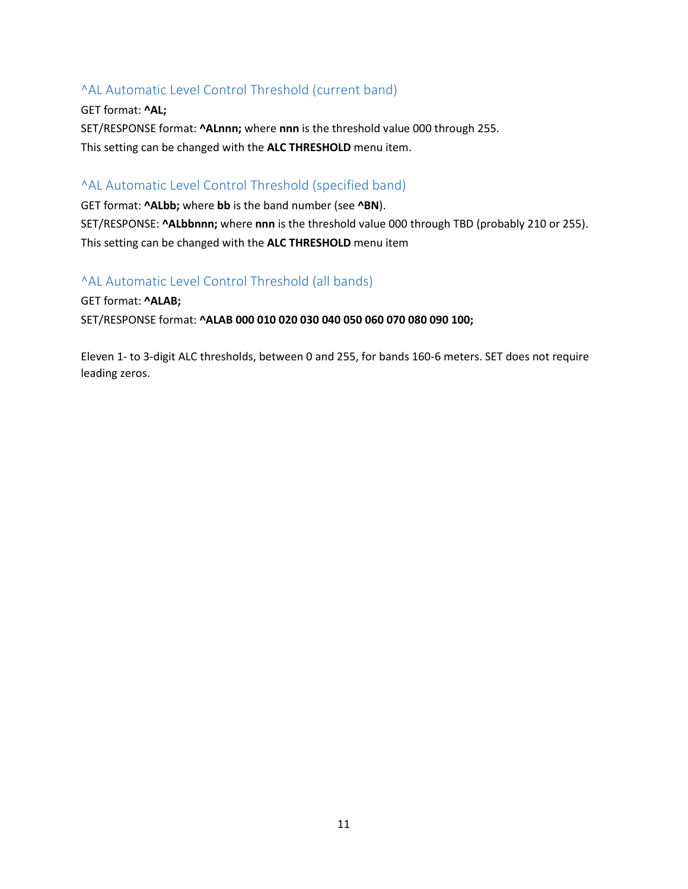## <span id="page-10-0"></span>^AL Automatic Level Control Threshold (current band)

GET format: **^AL;** SET/RESPONSE format: **^ALnnn;** where **nnn** is the threshold value 000 through 255. This setting can be changed with the **ALC THRESHOLD** menu item.

## <span id="page-10-1"></span>^AL Automatic Level Control Threshold (specified band)

GET format: **^ALbb;** where **bb** is the band number (see **^BN**). SET/RESPONSE: **^ALbbnnn;** where **nnn** is the threshold value 000 through TBD (probably 210 or 255). This setting can be changed with the **ALC THRESHOLD** menu item

#### <span id="page-10-2"></span>^AL Automatic Level Control Threshold (all bands)

GET format: **^ALAB;**

SET/RESPONSE format: **^ALAB 000 010 020 030 040 050 060 070 080 090 100;** 

Eleven 1- to 3-digit ALC thresholds, between 0 and 255, for bands 160-6 meters. SET does not require leading zeros.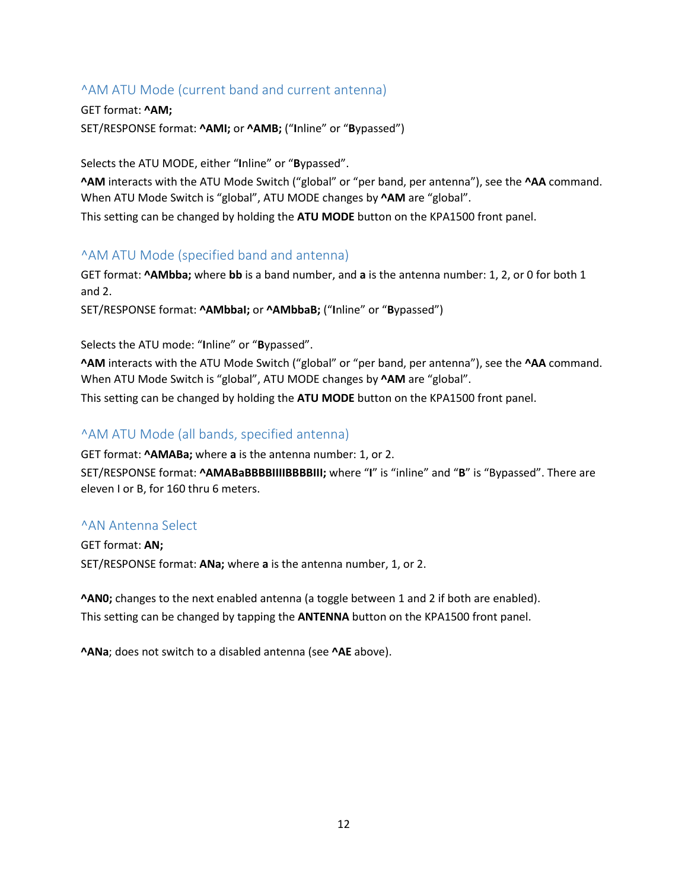## <span id="page-11-0"></span>^AM ATU Mode (current band and current antenna)

GET format: **^AM;** SET/RESPONSE format: **^AMI;** or **^AMB;** ("**I**nline" or "**B**ypassed")

Selects the ATU MODE, either "**I**nline" or "**B**ypassed".

**^AM** interacts with the ATU Mode Switch ("global" or "per band, per antenna"), see the **^AA** command. When ATU Mode Switch is "global", ATU MODE changes by **^AM** are "global".

This setting can be changed by holding the **ATU MODE** button on the KPA1500 front panel.

#### <span id="page-11-1"></span>^AM ATU Mode (specified band and antenna)

GET format: **^AMbba;** where **bb** is a band number, and **a** is the antenna number: 1, 2, or 0 for both 1 and 2.

SET/RESPONSE format: **^AMbbaI;** or **^AMbbaB;** ("**I**nline" or "**B**ypassed")

Selects the ATU mode: "**I**nline" or "**B**ypassed".

**^AM** interacts with the ATU Mode Switch ("global" or "per band, per antenna"), see the **^AA** command. When ATU Mode Switch is "global", ATU MODE changes by **^AM** are "global".

This setting can be changed by holding the **ATU MODE** button on the KPA1500 front panel.

#### <span id="page-11-2"></span>^AM ATU Mode (all bands, specified antenna)

GET format: **^AMABa;** where **a** is the antenna number: 1, or 2.

SET/RESPONSE format: **^AMABaBBBBIIIIBBBBIII;** where "**I**" is "inline" and "**B**" is "Bypassed". There are eleven I or B, for 160 thru 6 meters.

#### <span id="page-11-3"></span>^AN Antenna Select

GET format: **AN;** SET/RESPONSE format: **ANa;** where **a** is the antenna number, 1, or 2.

**^AN0;** changes to the next enabled antenna (a toggle between 1 and 2 if both are enabled). This setting can be changed by tapping the **ANTENNA** button on the KPA1500 front panel.

**^ANa**; does not switch to a disabled antenna (see **^AE** above).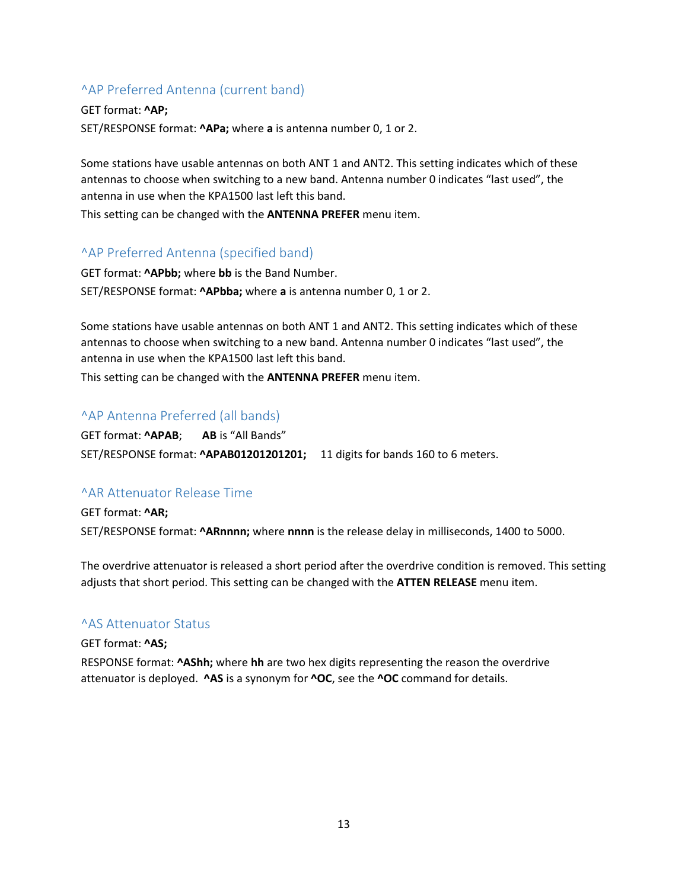## <span id="page-12-0"></span>^AP Preferred Antenna (current band)

GET format: **^AP;** SET/RESPONSE format: **^APa;** where **a** is antenna number 0, 1 or 2.

Some stations have usable antennas on both ANT 1 and ANT2. This setting indicates which of these antennas to choose when switching to a new band. Antenna number 0 indicates "last used", the antenna in use when the KPA1500 last left this band.

This setting can be changed with the **ANTENNA PREFER** menu item.

#### <span id="page-12-1"></span>^AP Preferred Antenna (specified band)

GET format: **^APbb;** where **bb** is the Band Number. SET/RESPONSE format: **^APbba;** where **a** is antenna number 0, 1 or 2.

Some stations have usable antennas on both ANT 1 and ANT2. This setting indicates which of these antennas to choose when switching to a new band. Antenna number 0 indicates "last used", the antenna in use when the KPA1500 last left this band.

This setting can be changed with the **ANTENNA PREFER** menu item.

#### <span id="page-12-2"></span>^AP Antenna Preferred (all bands)

GET format: **^APAB**; **AB** is "All Bands" SET/RESPONSE format: **^APAB01201201201;** 11 digits for bands 160 to 6 meters.

#### <span id="page-12-3"></span>^AR Attenuator Release Time

GET format: **^AR;** SET/RESPONSE format: **^ARnnnn;** where **nnnn** is the release delay in milliseconds, 1400 to 5000.

The overdrive attenuator is released a short period after the overdrive condition is removed. This setting adjusts that short period. This setting can be changed with the **ATTEN RELEASE** menu item.

#### <span id="page-12-4"></span>^AS Attenuator Status

#### GET format: **^AS;**

RESPONSE format: **^AShh;** where **hh** are two hex digits representing the reason the overdrive attenuator is deployed. **^AS** is a synonym for **^OC**, see the **^OC** command for details.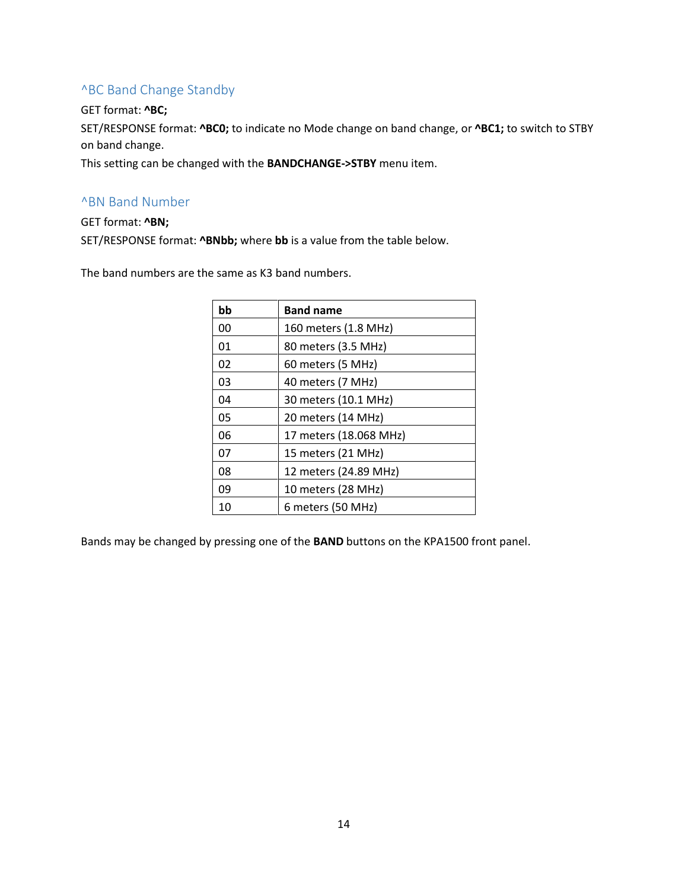#### <span id="page-13-0"></span>^BC Band Change Standby

#### GET format: **^BC;**

SET/RESPONSE format: **^BC0;** to indicate no Mode change on band change, or **^BC1;** to switch to STBY on band change.

This setting can be changed with the **BANDCHANGE->STBY** menu item.

#### <span id="page-13-1"></span>^BN Band Number

#### GET format: **^BN;**

SET/RESPONSE format: **^BNbb;** where **bb** is a value from the table below.

The band numbers are the same as K3 band numbers.

| bb | <b>Band name</b>       |
|----|------------------------|
| 00 | 160 meters (1.8 MHz)   |
| 01 | 80 meters (3.5 MHz)    |
| 02 | 60 meters (5 MHz)      |
| 03 | 40 meters (7 MHz)      |
| 04 | 30 meters (10.1 MHz)   |
| 05 | 20 meters (14 MHz)     |
| 06 | 17 meters (18.068 MHz) |
| 07 | 15 meters (21 MHz)     |
| 08 | 12 meters (24.89 MHz)  |
| 09 | 10 meters (28 MHz)     |
| 10 | 6 meters (50 MHz)      |

Bands may be changed by pressing one of the **BAND** buttons on the KPA1500 front panel.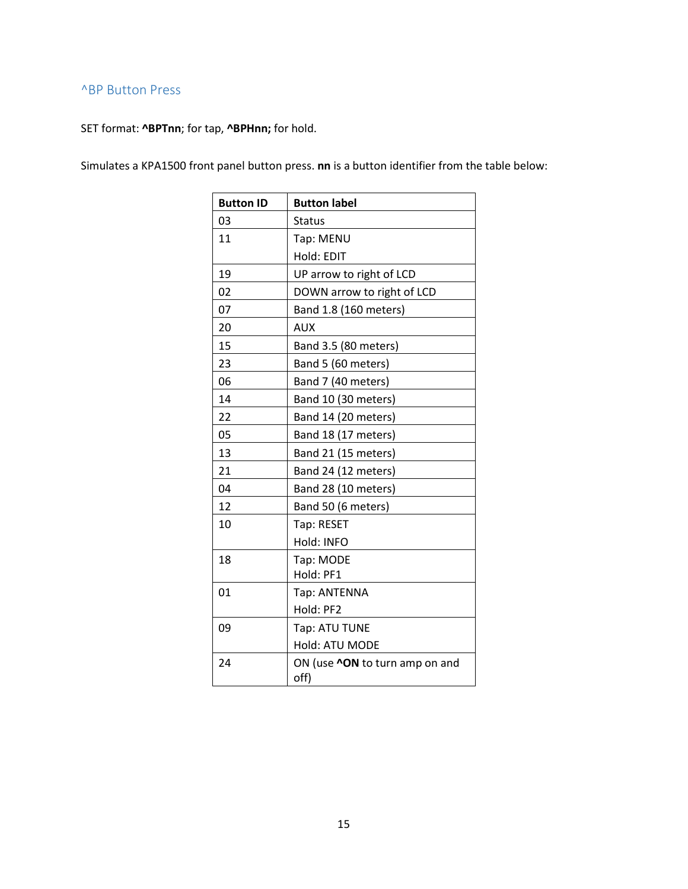## <span id="page-14-0"></span>^BP Button Press

SET format: **^BPTnn**; for tap, **^BPHnn;** for hold.

Simulates a KPA1500 front panel button press. **nn** is a button identifier from the table below:

| <b>Button ID</b> | <b>Button label</b>                           |
|------------------|-----------------------------------------------|
| 03               | <b>Status</b>                                 |
| 11               | Tap: MENU                                     |
|                  | Hold: EDIT                                    |
| 19               | UP arrow to right of LCD                      |
| 02               | DOWN arrow to right of LCD                    |
| 07               | Band 1.8 (160 meters)                         |
| 20               | <b>AUX</b>                                    |
| 15               | Band 3.5 (80 meters)                          |
| 23               | Band 5 (60 meters)                            |
| 06               | Band 7 (40 meters)                            |
| 14               | Band 10 (30 meters)                           |
| 22               | Band 14 (20 meters)                           |
| 05               | Band 18 (17 meters)                           |
| 13               | Band 21 (15 meters)                           |
| 21               | Band 24 (12 meters)                           |
| 04               | Band 28 (10 meters)                           |
| 12               | Band 50 (6 meters)                            |
| 10               | Tap: RESET                                    |
|                  | Hold: INFO                                    |
| 18               | Tap: MODE                                     |
|                  | Hold: PF1                                     |
| 01               | Tap: ANTENNA                                  |
|                  | Hold: PF2                                     |
| 09               | Tap: ATU TUNE                                 |
|                  | Hold: ATU MODE                                |
| 24               | ON (use <b>^ON</b> to turn amp on and<br>off) |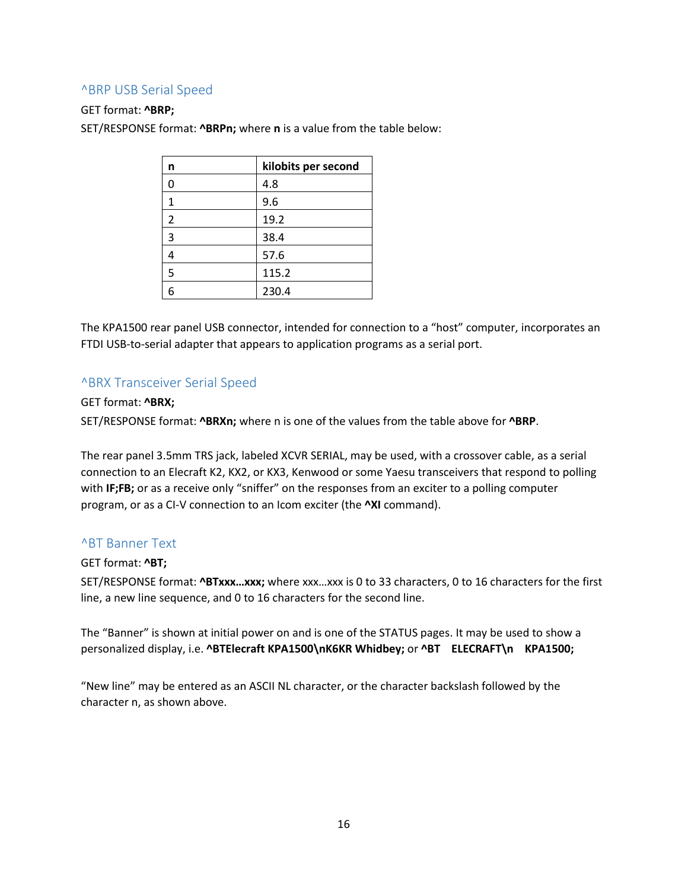#### <span id="page-15-0"></span>^BRP USB Serial Speed

#### GET format: **^BRP;**

SET/RESPONSE format: **^BRPn;** where **n** is a value from the table below:

| n | kilobits per second |
|---|---------------------|
| 0 | 4.8                 |
| 1 | 9.6                 |
| 2 | 19.2                |
| 3 | 38.4                |
| 4 | 57.6                |
| 5 | 115.2               |
| 6 | 230.4               |

The KPA1500 rear panel USB connector, intended for connection to a "host" computer, incorporates an FTDI USB-to-serial adapter that appears to application programs as a serial port.

#### <span id="page-15-1"></span>^BRX Transceiver Serial Speed

#### GET format: **^BRX;**

SET/RESPONSE format: **^BRXn;** where n is one of the values from the table above for **^BRP**.

The rear panel 3.5mm TRS jack, labeled XCVR SERIAL, may be used, with a crossover cable, as a serial connection to an Elecraft K2, KX2, or KX3, Kenwood or some Yaesu transceivers that respond to polling with **IF;FB;** or as a receive only "sniffer" on the responses from an exciter to a polling computer program, or as a CI-V connection to an Icom exciter (the **^XI** command).

#### <span id="page-15-2"></span>^BT Banner Text

#### GET format: **^BT;**

SET/RESPONSE format: **^BTxxx…xxx;** where xxx…xxx is 0 to 33 characters, 0 to 16 characters for the first line, a new line sequence, and 0 to 16 characters for the second line.

The "Banner" is shown at initial power on and is one of the STATUS pages. It may be used to show a personalized display, i.e. **^BTElecraft KPA1500\nK6KR Whidbey;** or **^BT ELECRAFT\n KPA1500;**

"New line" may be entered as an ASCII NL character, or the character backslash followed by the character n, as shown above.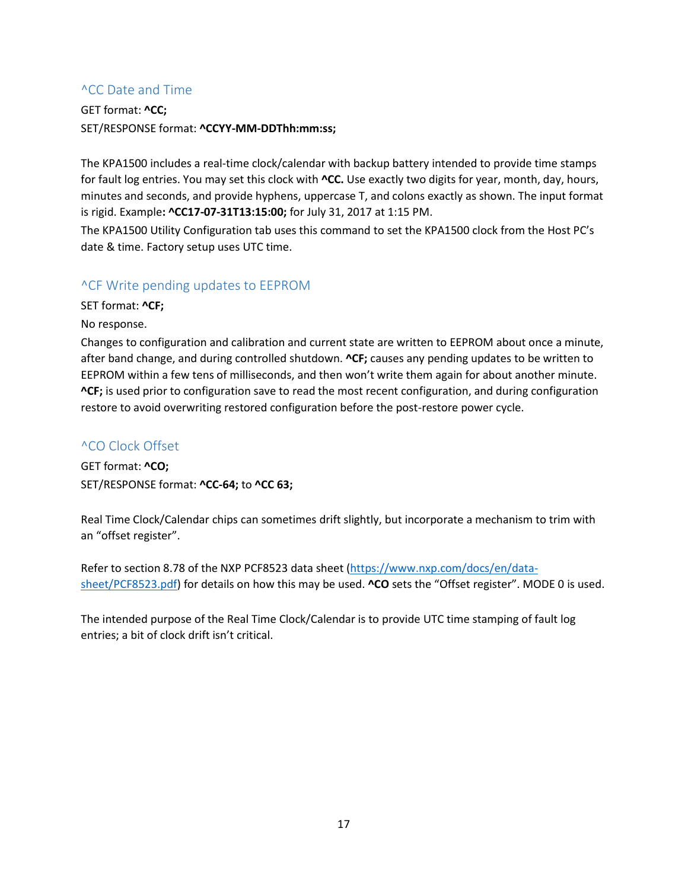## <span id="page-16-0"></span>^CC Date and Time

GET format: **^CC;** SET/RESPONSE format: **^CCYY-MM-DDThh:mm:ss;**

The KPA1500 includes a real-time clock/calendar with backup battery intended to provide time stamps for fault log entries. You may set this clock with **^CC.** Use exactly two digits for year, month, day, hours, minutes and seconds, and provide hyphens, uppercase T, and colons exactly as shown. The input format is rigid. Example**: ^CC17-07-31T13:15:00;** for July 31, 2017 at 1:15 PM.

The KPA1500 Utility Configuration tab uses this command to set the KPA1500 clock from the Host PC's date & time. Factory setup uses UTC time.

#### <span id="page-16-1"></span>^CF Write pending updates to EEPROM

SET format: **^CF;**

No response.

Changes to configuration and calibration and current state are written to EEPROM about once a minute, after band change, and during controlled shutdown. **^CF;** causes any pending updates to be written to EEPROM within a few tens of milliseconds, and then won't write them again for about another minute. **^CF;** is used prior to configuration save to read the most recent configuration, and during configuration restore to avoid overwriting restored configuration before the post-restore power cycle.

## <span id="page-16-2"></span>^CO Clock Offset

GET format: **^CO;** SET/RESPONSE format: **^CC-64;** to **^CC 63;**

Real Time Clock/Calendar chips can sometimes drift slightly, but incorporate a mechanism to trim with an "offset register".

Refer to section 8.78 of the NXP PCF8523 data sheet [\(https://www.nxp.com/docs/en/data](https://www.nxp.com/docs/en/data-sheet/PCF8523.pdf)[sheet/PCF8523.pdf\)](https://www.nxp.com/docs/en/data-sheet/PCF8523.pdf) for details on how this may be used. **^CO** sets the "Offset register". MODE 0 is used.

The intended purpose of the Real Time Clock/Calendar is to provide UTC time stamping of fault log entries; a bit of clock drift isn't critical.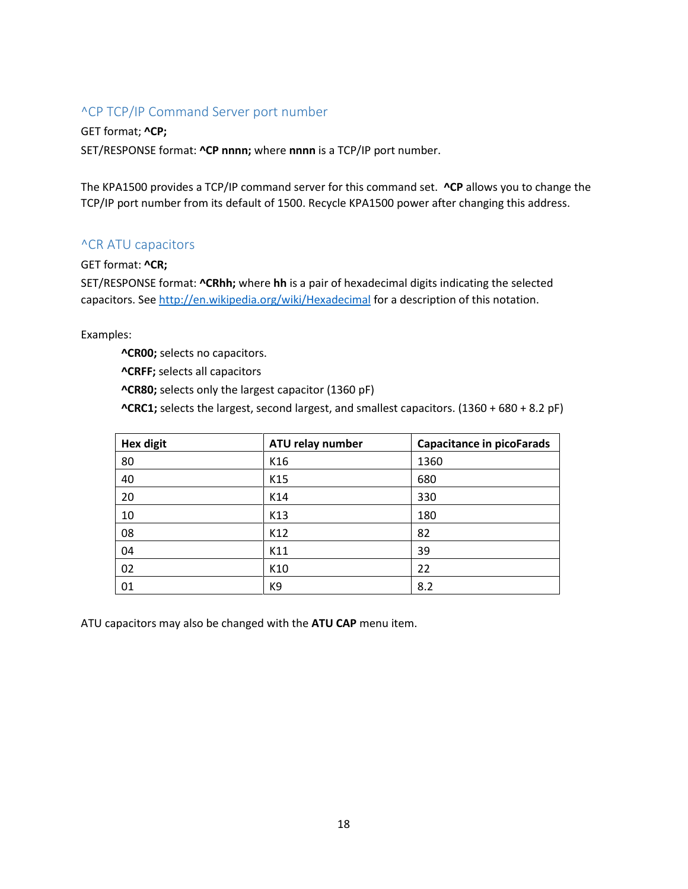## <span id="page-17-0"></span>^CP TCP/IP Command Server port number

GET format; **^CP;** SET/RESPONSE format: **^CP nnnn;** where **nnnn** is a TCP/IP port number.

The KPA1500 provides a TCP/IP command server for this command set. **^CP** allows you to change the TCP/IP port number from its default of 1500. Recycle KPA1500 power after changing this address.

#### <span id="page-17-1"></span>^CR ATU capacitors

GET format: **^CR;**

SET/RESPONSE format: **^CRhh;** where **hh** is a pair of hexadecimal digits indicating the selected capacitors. Se[e http://en.wikipedia.org/wiki/Hexadecimal](http://en.wikipedia.org/wiki/Hexadecimal) for a description of this notation.

Examples:

**^CR00;** selects no capacitors.

**^CRFF;** selects all capacitors

**^CR80;** selects only the largest capacitor (1360 pF)

**^CRC1;** selects the largest, second largest, and smallest capacitors. (1360 + 680 + 8.2 pF)

| <b>Hex digit</b> | ATU relay number | <b>Capacitance in picoFarads</b> |
|------------------|------------------|----------------------------------|
| 80               | K16              | 1360                             |
| 40               | K15              | 680                              |
| 20               | K14              | 330                              |
| 10               | K13              | 180                              |
| 08               | K12              | 82                               |
| 04               | K11              | 39                               |
| 02               | K10              | 22                               |
| 01               | K9               | 8.2                              |

ATU capacitors may also be changed with the **ATU CAP** menu item.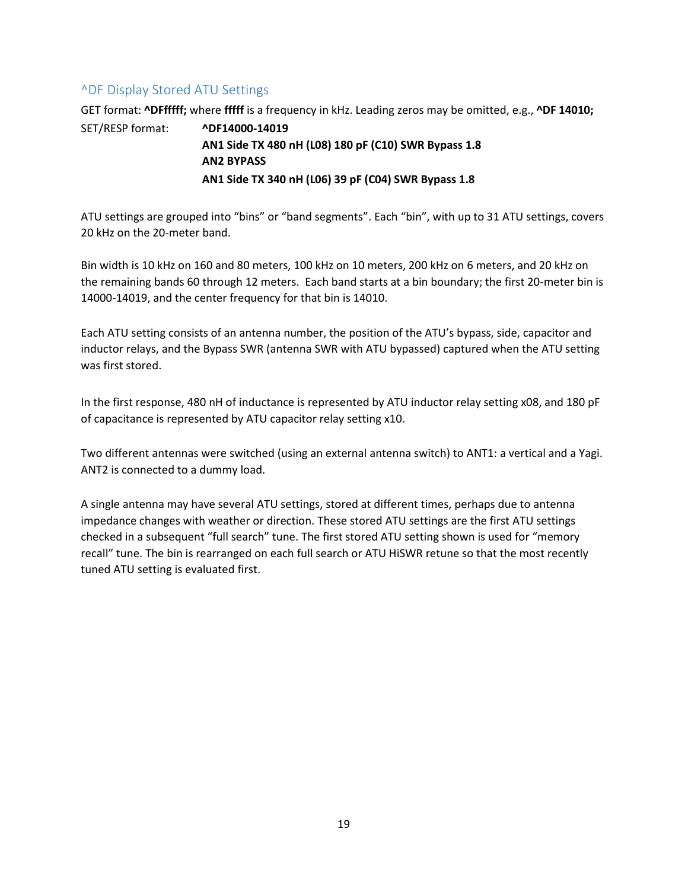## <span id="page-18-0"></span>^DF Display Stored ATU Settings

GET format: **^DFfffff;** where **fffff** is a frequency in kHz. Leading zeros may be omitted, e.g., **^DF 14010;**

SET/RESP format: **^DF14000-14019 AN1 Side TX 480 nH (L08) 180 pF (C10) SWR Bypass 1.8 AN2 BYPASS AN1 Side TX 340 nH (L06) 39 pF (C04) SWR Bypass 1.8**

ATU settings are grouped into "bins" or "band segments". Each "bin", with up to 31 ATU settings, covers 20 kHz on the 20-meter band.

Bin width is 10 kHz on 160 and 80 meters, 100 kHz on 10 meters, 200 kHz on 6 meters, and 20 kHz on the remaining bands 60 through 12 meters. Each band starts at a bin boundary; the first 20-meter bin is 14000-14019, and the center frequency for that bin is 14010.

Each ATU setting consists of an antenna number, the position of the ATU's bypass, side, capacitor and inductor relays, and the Bypass SWR (antenna SWR with ATU bypassed) captured when the ATU setting was first stored.

In the first response, 480 nH of inductance is represented by ATU inductor relay setting x08, and 180 pF of capacitance is represented by ATU capacitor relay setting x10.

Two different antennas were switched (using an external antenna switch) to ANT1: a vertical and a Yagi. ANT2 is connected to a dummy load.

A single antenna may have several ATU settings, stored at different times, perhaps due to antenna impedance changes with weather or direction. These stored ATU settings are the first ATU settings checked in a subsequent "full search" tune. The first stored ATU setting shown is used for "memory recall" tune. The bin is rearranged on each full search or ATU HiSWR retune so that the most recently tuned ATU setting is evaluated first.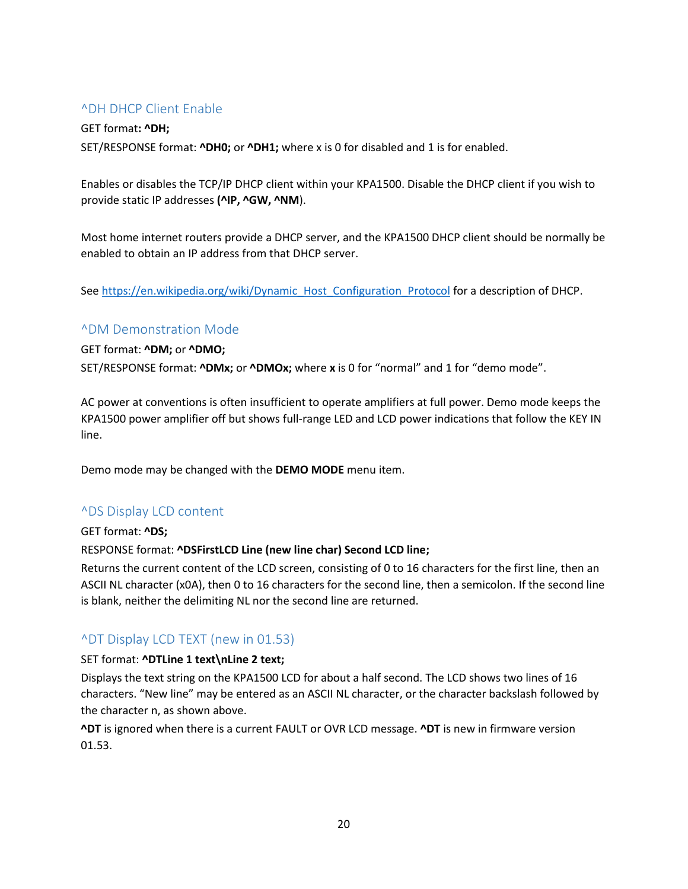#### <span id="page-19-0"></span>^DH DHCP Client Enable

GET format**: ^DH;** SET/RESPONSE format: **^DH0;** or **^DH1;** where x is 0 for disabled and 1 is for enabled.

Enables or disables the TCP/IP DHCP client within your KPA1500. Disable the DHCP client if you wish to provide static IP addresses **(^IP, ^GW, ^NM**).

Most home internet routers provide a DHCP server, and the KPA1500 DHCP client should be normally be enabled to obtain an IP address from that DHCP server.

Se[e https://en.wikipedia.org/wiki/Dynamic\\_Host\\_Configuration\\_Protocol](https://en.wikipedia.org/wiki/Dynamic_Host_Configuration_Protocol) for a description of DHCP.

#### <span id="page-19-1"></span>^DM Demonstration Mode

GET format: **^DM;** or **^DMO;**

SET/RESPONSE format: **^DMx;** or **^DMOx;** where **x** is 0 for "normal" and 1 for "demo mode".

AC power at conventions is often insufficient to operate amplifiers at full power. Demo mode keeps the KPA1500 power amplifier off but shows full-range LED and LCD power indications that follow the KEY IN line.

Demo mode may be changed with the **DEMO MODE** menu item.

#### <span id="page-19-2"></span>^DS Display LCD content

GET format: **^DS;**

#### RESPONSE format: **^DSFirstLCD Line (new line char) Second LCD line;**

Returns the current content of the LCD screen, consisting of 0 to 16 characters for the first line, then an ASCII NL character (x0A), then 0 to 16 characters for the second line, then a semicolon. If the second line is blank, neither the delimiting NL nor the second line are returned.

#### <span id="page-19-3"></span>^DT Display LCD TEXT (new in 01.53)

#### SET format: **^DTLine 1 text\nLine 2 text;**

Displays the text string on the KPA1500 LCD for about a half second. The LCD shows two lines of 16 characters. "New line" may be entered as an ASCII NL character, or the character backslash followed by the character n, as shown above.

**^DT** is ignored when there is a current FAULT or OVR LCD message. **^DT** is new in firmware version 01.53.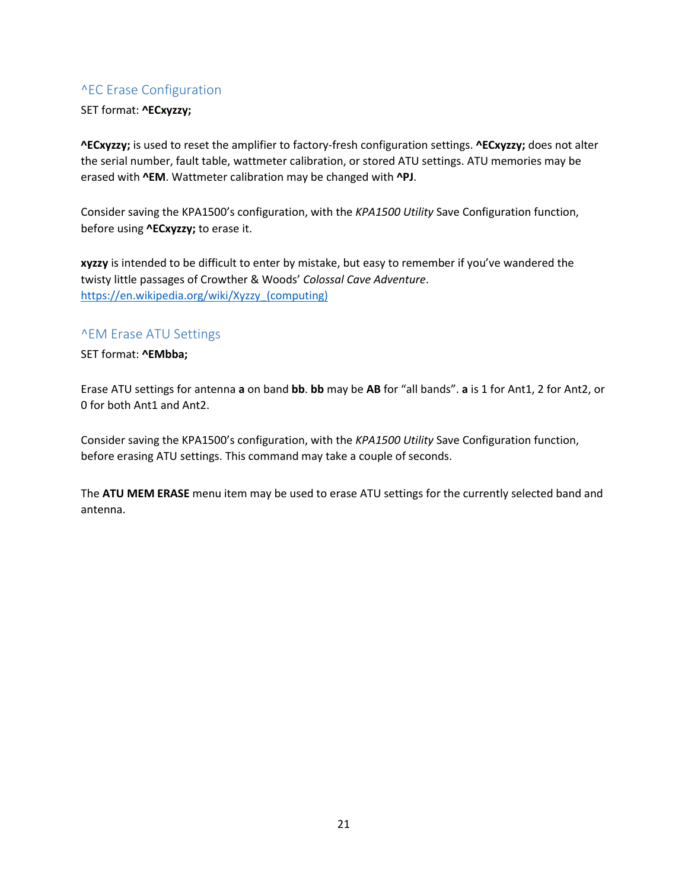## <span id="page-20-0"></span>^EC Erase Configuration

#### SET format: **^ECxyzzy;**

**^ECxyzzy;** is used to reset the amplifier to factory-fresh configuration settings. **^ECxyzzy;** does not alter the serial number, fault table, wattmeter calibration, or stored ATU settings. ATU memories may be erased with **^EM**. Wattmeter calibration may be changed with **^PJ**.

Consider saving the KPA1500's configuration, with the *KPA1500 Utility* Save Configuration function, before using **^ECxyzzy;** to erase it.

**xyzzy** is intended to be difficult to enter by mistake, but easy to remember if you've wandered the twisty little passages of Crowther & Woods' *Colossal Cave Adventure*. [https://en.wikipedia.org/wiki/Xyzzy\\_\(computing\)](https://en.wikipedia.org/wiki/Xyzzy_(computing))

#### <span id="page-20-1"></span>^EM Erase ATU Settings

SET format: **^EMbba;**

Erase ATU settings for antenna **a** on band **bb**. **bb** may be **AB** for "all bands". **a** is 1 for Ant1, 2 for Ant2, or 0 for both Ant1 and Ant2.

Consider saving the KPA1500's configuration, with the *KPA1500 Utility* Save Configuration function, before erasing ATU settings. This command may take a couple of seconds.

The **ATU MEM ERASE** menu item may be used to erase ATU settings for the currently selected band and antenna.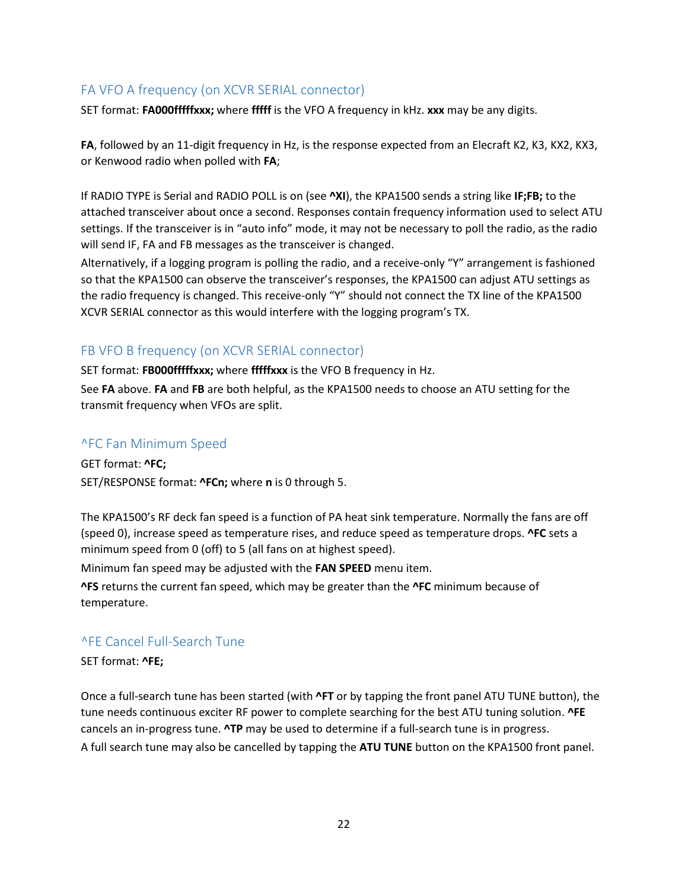## <span id="page-21-0"></span>FA VFO A frequency (on XCVR SERIAL connector)

SET format: **FA000fffffxxx;** where **fffff** is the VFO A frequency in kHz. **xxx** may be any digits.

**FA**, followed by an 11-digit frequency in Hz, is the response expected from an Elecraft K2, K3, KX2, KX3, or Kenwood radio when polled with **FA**;

If RADIO TYPE is Serial and RADIO POLL is on (see **^XI**), the KPA1500 sends a string like **IF;FB;** to the attached transceiver about once a second. Responses contain frequency information used to select ATU settings. If the transceiver is in "auto info" mode, it may not be necessary to poll the radio, as the radio will send IF, FA and FB messages as the transceiver is changed.

Alternatively, if a logging program is polling the radio, and a receive-only "Y" arrangement is fashioned so that the KPA1500 can observe the transceiver's responses, the KPA1500 can adjust ATU settings as the radio frequency is changed. This receive-only "Y" should not connect the TX line of the KPA1500 XCVR SERIAL connector as this would interfere with the logging program's TX.

## <span id="page-21-1"></span>FB VFO B frequency (on XCVR SERIAL connector)

SET format: **FB000fffffxxx;** where **fffffxxx** is the VFO B frequency in Hz.

See **FA** above. **FA** and **FB** are both helpful, as the KPA1500 needs to choose an ATU setting for the transmit frequency when VFOs are split.

## <span id="page-21-2"></span>^FC Fan Minimum Speed

GET format: **^FC;** SET/RESPONSE format: **^FCn;** where **n** is 0 through 5.

The KPA1500's RF deck fan speed is a function of PA heat sink temperature. Normally the fans are off (speed 0), increase speed as temperature rises, and reduce speed as temperature drops. **^FC** sets a minimum speed from 0 (off) to 5 (all fans on at highest speed).

Minimum fan speed may be adjusted with the **FAN SPEED** menu item.

**^FS** returns the current fan speed, which may be greater than the **^FC** minimum because of temperature.

#### <span id="page-21-3"></span>^FE Cancel Full-Search Tune

SET format: **^FE;**

Once a full-search tune has been started (with **^FT** or by tapping the front panel ATU TUNE button), the tune needs continuous exciter RF power to complete searching for the best ATU tuning solution. **^FE** cancels an in-progress tune. **^TP** may be used to determine if a full-search tune is in progress. A full search tune may also be cancelled by tapping the **ATU TUNE** button on the KPA1500 front panel.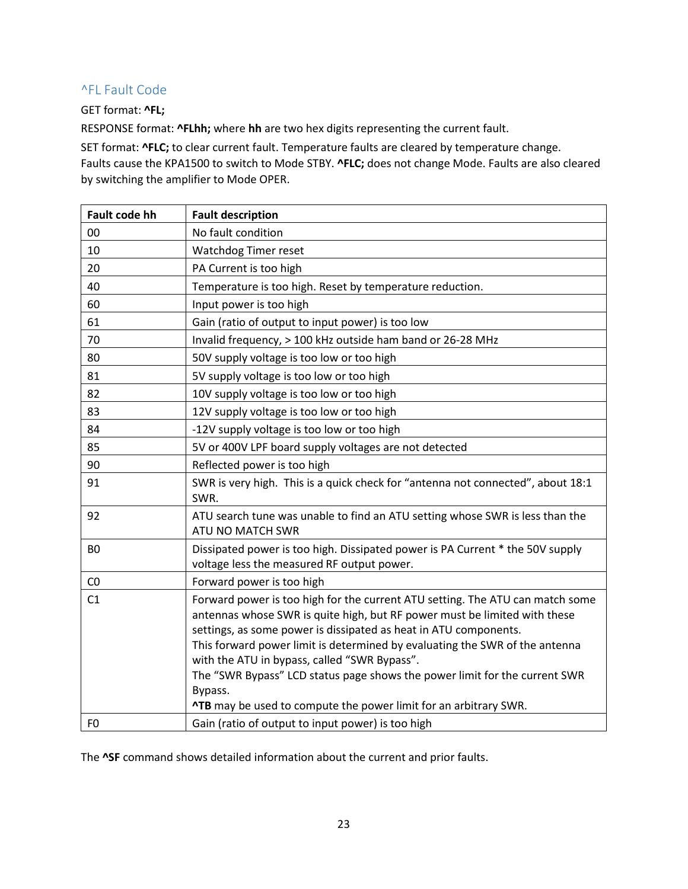## <span id="page-22-0"></span>^FL Fault Code

#### GET format: **^FL;**

RESPONSE format: **^FLhh;** where **hh** are two hex digits representing the current fault.

SET format: **^FLC;** to clear current fault. Temperature faults are cleared by temperature change. Faults cause the KPA1500 to switch to Mode STBY. **^FLC;** does not change Mode. Faults are also cleared by switching the amplifier to Mode OPER.

| <b>Fault code hh</b> | <b>Fault description</b>                                                                                                                                                                                                                                                                                                                                                                                                                                                                                                          |
|----------------------|-----------------------------------------------------------------------------------------------------------------------------------------------------------------------------------------------------------------------------------------------------------------------------------------------------------------------------------------------------------------------------------------------------------------------------------------------------------------------------------------------------------------------------------|
| 00                   | No fault condition                                                                                                                                                                                                                                                                                                                                                                                                                                                                                                                |
| 10                   | Watchdog Timer reset                                                                                                                                                                                                                                                                                                                                                                                                                                                                                                              |
| 20                   | PA Current is too high                                                                                                                                                                                                                                                                                                                                                                                                                                                                                                            |
| 40                   | Temperature is too high. Reset by temperature reduction.                                                                                                                                                                                                                                                                                                                                                                                                                                                                          |
| 60                   | Input power is too high                                                                                                                                                                                                                                                                                                                                                                                                                                                                                                           |
| 61                   | Gain (ratio of output to input power) is too low                                                                                                                                                                                                                                                                                                                                                                                                                                                                                  |
| 70                   | Invalid frequency, > 100 kHz outside ham band or 26-28 MHz                                                                                                                                                                                                                                                                                                                                                                                                                                                                        |
| 80                   | 50V supply voltage is too low or too high                                                                                                                                                                                                                                                                                                                                                                                                                                                                                         |
| 81                   | 5V supply voltage is too low or too high                                                                                                                                                                                                                                                                                                                                                                                                                                                                                          |
| 82                   | 10V supply voltage is too low or too high                                                                                                                                                                                                                                                                                                                                                                                                                                                                                         |
| 83                   | 12V supply voltage is too low or too high                                                                                                                                                                                                                                                                                                                                                                                                                                                                                         |
| 84                   | -12V supply voltage is too low or too high                                                                                                                                                                                                                                                                                                                                                                                                                                                                                        |
| 85                   | 5V or 400V LPF board supply voltages are not detected                                                                                                                                                                                                                                                                                                                                                                                                                                                                             |
| 90                   | Reflected power is too high                                                                                                                                                                                                                                                                                                                                                                                                                                                                                                       |
| 91                   | SWR is very high. This is a quick check for "antenna not connected", about 18:1<br>SWR.                                                                                                                                                                                                                                                                                                                                                                                                                                           |
| 92                   | ATU search tune was unable to find an ATU setting whose SWR is less than the<br>ATU NO MATCH SWR                                                                                                                                                                                                                                                                                                                                                                                                                                  |
| B <sub>O</sub>       | Dissipated power is too high. Dissipated power is PA Current * the 50V supply<br>voltage less the measured RF output power.                                                                                                                                                                                                                                                                                                                                                                                                       |
| CO                   | Forward power is too high                                                                                                                                                                                                                                                                                                                                                                                                                                                                                                         |
| C1                   | Forward power is too high for the current ATU setting. The ATU can match some<br>antennas whose SWR is quite high, but RF power must be limited with these<br>settings, as some power is dissipated as heat in ATU components.<br>This forward power limit is determined by evaluating the SWR of the antenna<br>with the ATU in bypass, called "SWR Bypass".<br>The "SWR Bypass" LCD status page shows the power limit for the current SWR<br>Bypass.<br><b>^TB</b> may be used to compute the power limit for an arbitrary SWR. |
| F <sub>0</sub>       | Gain (ratio of output to input power) is too high                                                                                                                                                                                                                                                                                                                                                                                                                                                                                 |

The **^SF** command shows detailed information about the current and prior faults.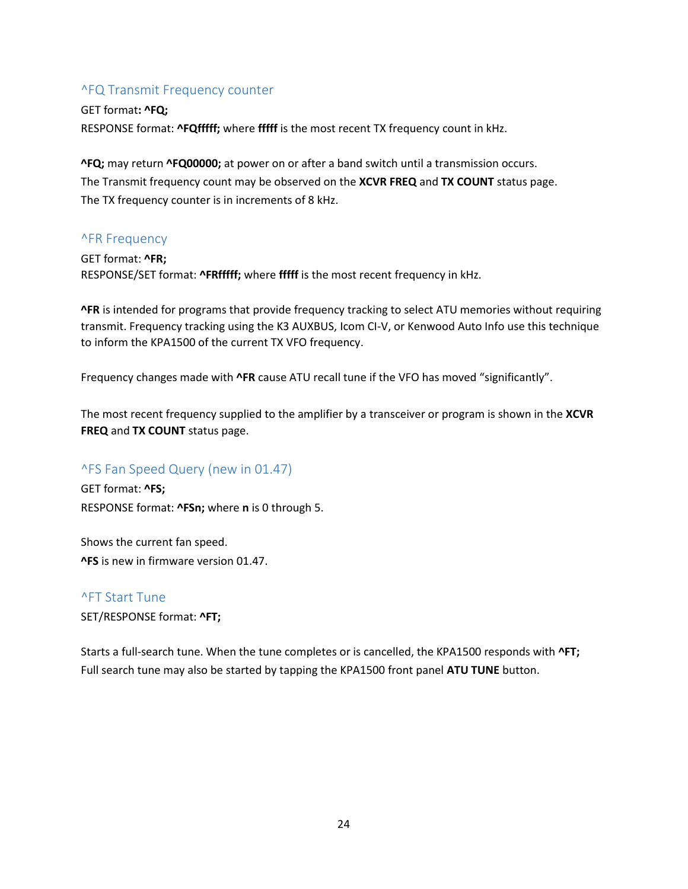#### <span id="page-23-0"></span>^FQ Transmit Frequency counter

GET format**: ^FQ;** RESPONSE format: **^FQfffff;** where **fffff** is the most recent TX frequency count in kHz.

**^FQ;** may return **^FQ00000;** at power on or after a band switch until a transmission occurs. The Transmit frequency count may be observed on the **XCVR FREQ** and **TX COUNT** status page. The TX frequency counter is in increments of 8 kHz.

#### <span id="page-23-1"></span>^FR Frequency

GET format: **^FR;** RESPONSE/SET format: **^FRfffff;** where **fffff** is the most recent frequency in kHz.

**^FR** is intended for programs that provide frequency tracking to select ATU memories without requiring transmit. Frequency tracking using the K3 AUXBUS, Icom CI-V, or Kenwood Auto Info use this technique to inform the KPA1500 of the current TX VFO frequency.

Frequency changes made with **^FR** cause ATU recall tune if the VFO has moved "significantly".

The most recent frequency supplied to the amplifier by a transceiver or program is shown in the **XCVR FREQ** and **TX COUNT** status page.

#### <span id="page-23-2"></span>^FS Fan Speed Query (new in 01.47)

GET format: **^FS;** RESPONSE format: **^FSn;** where **n** is 0 through 5.

Shows the current fan speed. **^FS** is new in firmware version 01.47.

#### <span id="page-23-3"></span>^FT Start Tune

SET/RESPONSE format: **^FT;**

Starts a full-search tune. When the tune completes or is cancelled, the KPA1500 responds with **^FT;** Full search tune may also be started by tapping the KPA1500 front panel **ATU TUNE** button.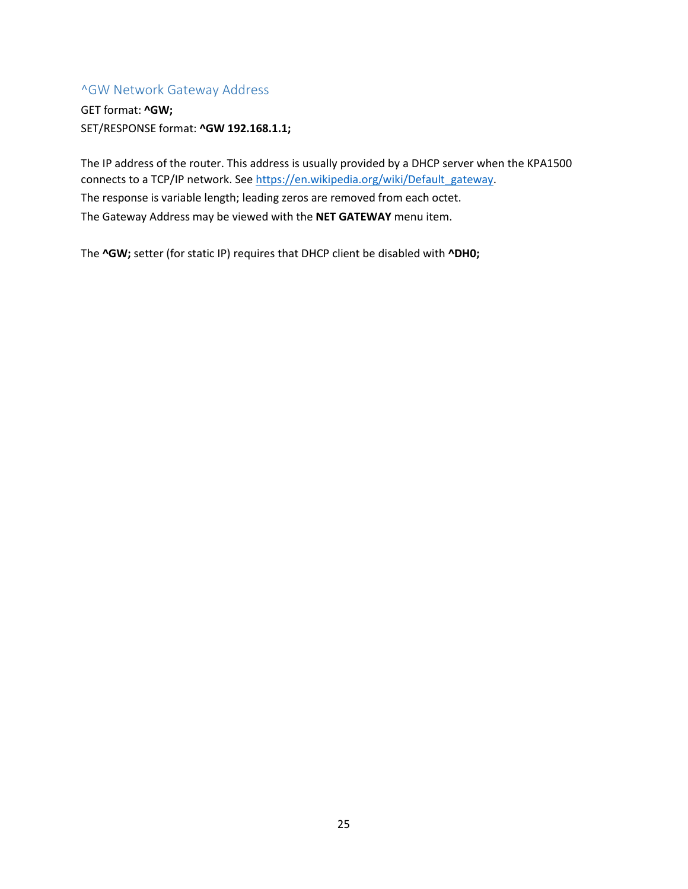## <span id="page-24-0"></span>^GW Network Gateway Address

GET format: **^GW;** SET/RESPONSE format: **^GW 192.168.1.1;**

The IP address of the router. This address is usually provided by a DHCP server when the KPA1500 connects to a TCP/IP network. Se[e https://en.wikipedia.org/wiki/Default\\_gateway.](https://en.wikipedia.org/wiki/Default_gateway) The response is variable length; leading zeros are removed from each octet. The Gateway Address may be viewed with the **NET GATEWAY** menu item.

The **^GW;** setter (for static IP) requires that DHCP client be disabled with **^DH0;**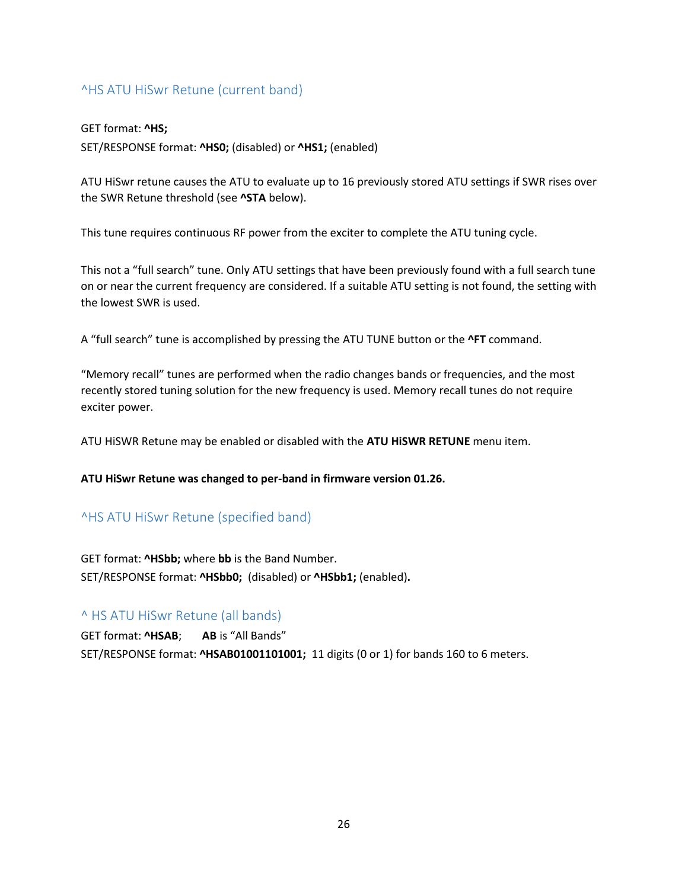## <span id="page-25-0"></span>^HS ATU HiSwr Retune (current band)

#### GET format: **^HS;**

SET/RESPONSE format: **^HS0;** (disabled) or **^HS1;** (enabled)

ATU HiSwr retune causes the ATU to evaluate up to 16 previously stored ATU settings if SWR rises over the SWR Retune threshold (see **^STA** below).

This tune requires continuous RF power from the exciter to complete the ATU tuning cycle.

This not a "full search" tune. Only ATU settings that have been previously found with a full search tune on or near the current frequency are considered. If a suitable ATU setting is not found, the setting with the lowest SWR is used.

A "full search" tune is accomplished by pressing the ATU TUNE button or the **^FT** command.

"Memory recall" tunes are performed when the radio changes bands or frequencies, and the most recently stored tuning solution for the new frequency is used. Memory recall tunes do not require exciter power.

ATU HiSWR Retune may be enabled or disabled with the **ATU HiSWR RETUNE** menu item.

#### **ATU HiSwr Retune was changed to per-band in firmware version 01.26.**

#### <span id="page-25-1"></span>^HS ATU HiSwr Retune (specified band)

GET format: **^HSbb;** where **bb** is the Band Number. SET/RESPONSE format: **^HSbb0;** (disabled) or **^HSbb1;** (enabled)**.**

#### <span id="page-25-2"></span>^ HS ATU HiSwr Retune (all bands)

GET format: **^HSAB**; **AB** is "All Bands" SET/RESPONSE format: **^HSAB01001101001;** 11 digits (0 or 1) for bands 160 to 6 meters.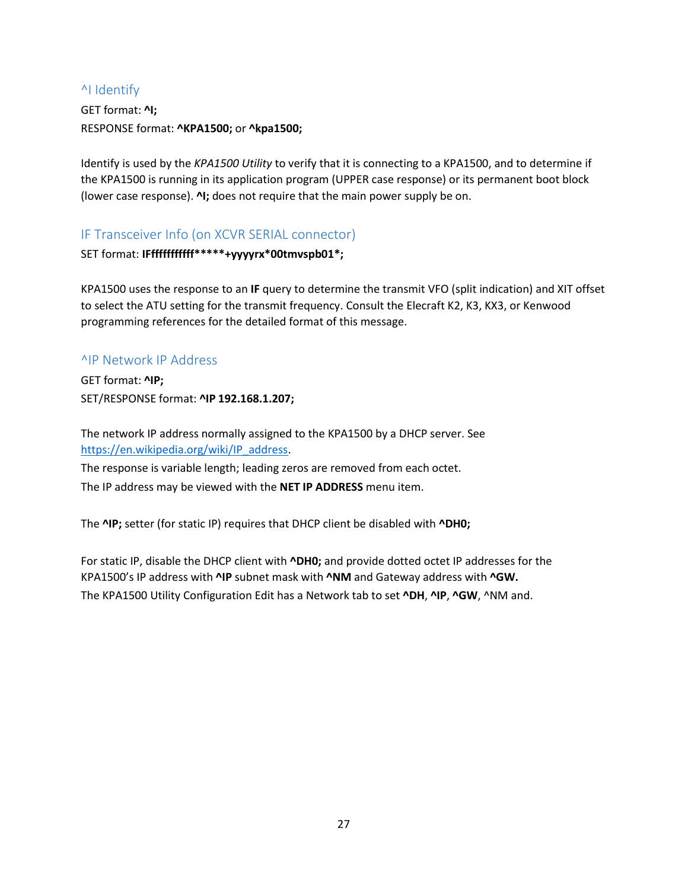## <span id="page-26-0"></span>^I Identify

GET format: **^I;** RESPONSE format: **^KPA1500;** or **^kpa1500;**

Identify is used by the *KPA1500 Utility* to verify that it is connecting to a KPA1500, and to determine if the KPA1500 is running in its application program (UPPER case response) or its permanent boot block (lower case response). **^I;** does not require that the main power supply be on.

<span id="page-26-1"></span>IF Transceiver Info (on XCVR SERIAL connector)

SET format: **IFfffffffffff\*\*\*\*\*+yyyyrx\*00tmvspb01\*;**

KPA1500 uses the response to an **IF** query to determine the transmit VFO (split indication) and XIT offset to select the ATU setting for the transmit frequency. Consult the Elecraft K2, K3, KX3, or Kenwood programming references for the detailed format of this message.

#### <span id="page-26-2"></span>^IP Network IP Address

GET format: **^IP;** SET/RESPONSE format: **^IP 192.168.1.207;**

The network IP address normally assigned to the KPA1500 by a DHCP server. See [https://en.wikipedia.org/wiki/IP\\_address.](https://en.wikipedia.org/wiki/IP_address)

The response is variable length; leading zeros are removed from each octet. The IP address may be viewed with the **NET IP ADDRESS** menu item.

The **^IP;** setter (for static IP) requires that DHCP client be disabled with **^DH0;**

For static IP, disable the DHCP client with **^DH0;** and provide dotted octet IP addresses for the KPA1500's IP address with **^IP** subnet mask with **^NM** and Gateway address with **^GW.** The KPA1500 Utility Configuration Edit has a Network tab to set **^DH**, **^IP**, **^GW**, ^NM and.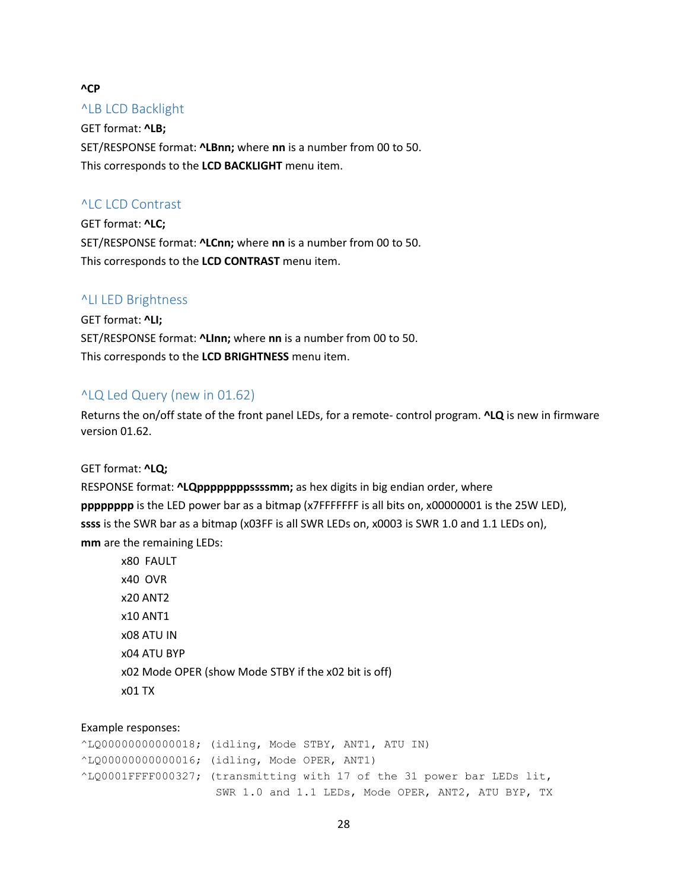#### **^CP**

#### <span id="page-27-0"></span>^LB LCD Backlight

GET format: **^LB;** SET/RESPONSE format: **^LBnn;** where **nn** is a number from 00 to 50. This corresponds to the **LCD BACKLIGHT** menu item.

#### <span id="page-27-1"></span>^LC LCD Contrast

GET format: **^LC;** SET/RESPONSE format: **^LCnn;** where **nn** is a number from 00 to 50. This corresponds to the **LCD CONTRAST** menu item.

#### <span id="page-27-2"></span>^LI LED Brightness

GET format: **^LI;** SET/RESPONSE format: **^LInn;** where **nn** is a number from 00 to 50. This corresponds to the **LCD BRIGHTNESS** menu item.

#### <span id="page-27-3"></span>^LQ Led Query (new in 01.62)

Returns the on/off state of the front panel LEDs, for a remote- control program. **^LQ** is new in firmware version 01.62.

#### GET format: **^LQ;**

RESPONSE format: **^LQppppppppssssmm;** as hex digits in big endian order, where **pppppppp** is the LED power bar as a bitmap (x7FFFFFFF is all bits on, x00000001 is the 25W LED), **ssss** is the SWR bar as a bitmap (x03FF is all SWR LEDs on, x0003 is SWR 1.0 and 1.1 LEDs on), **mm** are the remaining LEDs:

x80 FAULT x40 OVR x20 ANT2 x10 ANT1 x08 ATU IN x04 ATU BYP x02 Mode OPER (show Mode STBY if the x02 bit is off) x01 TX

#### Example responses:

^LQ00000000000018; (idling, Mode STBY, ANT1, ATU IN) ^LQ00000000000016; (idling, Mode OPER, ANT1) ^LQ0001FFFF000327; (transmitting with 17 of the 31 power bar LEDs lit, SWR 1.0 and 1.1 LEDs, Mode OPER, ANT2, ATU BYP, TX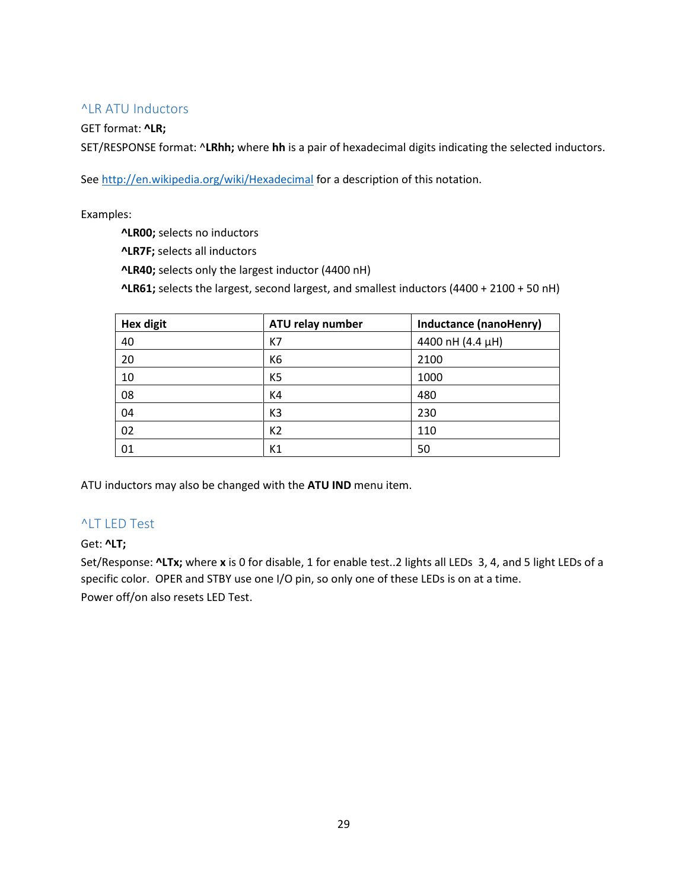#### <span id="page-28-0"></span>^LR ATU Inductors

#### GET format: **^LR;**

SET/RESPONSE format: ^**LRhh;** where **hh** is a pair of hexadecimal digits indicating the selected inductors.

Se[e http://en.wikipedia.org/wiki/Hexadecimal](http://en.wikipedia.org/wiki/Hexadecimal) for a description of this notation.

Examples:

**^LR00;** selects no inductors

**^LR7F;** selects all inductors

**^LR40;** selects only the largest inductor (4400 nH)

**^LR61;** selects the largest, second largest, and smallest inductors (4400 + 2100 + 50 nH)

| <b>Hex digit</b> | ATU relay number | Inductance (nanoHenry) |
|------------------|------------------|------------------------|
| 40               | K7               | 4400 nH (4.4 µH)       |
| 20               | K <sub>6</sub>   | 2100                   |
| 10               | K <sub>5</sub>   | 1000                   |
| 08               | K4               | 480                    |
| 04               | K <sub>3</sub>   | 230                    |
| 02               | K <sub>2</sub>   | 110                    |
| 01               | K1               | 50                     |

ATU inductors may also be changed with the **ATU IND** menu item.

#### <span id="page-28-1"></span>^LT LED Test

#### Get: **^LT;**

Set/Response: **^LTx;** where **x** is 0 for disable, 1 for enable test..2 lights all LEDs 3, 4, and 5 light LEDs of a specific color. OPER and STBY use one I/O pin, so only one of these LEDs is on at a time. Power off/on also resets LED Test.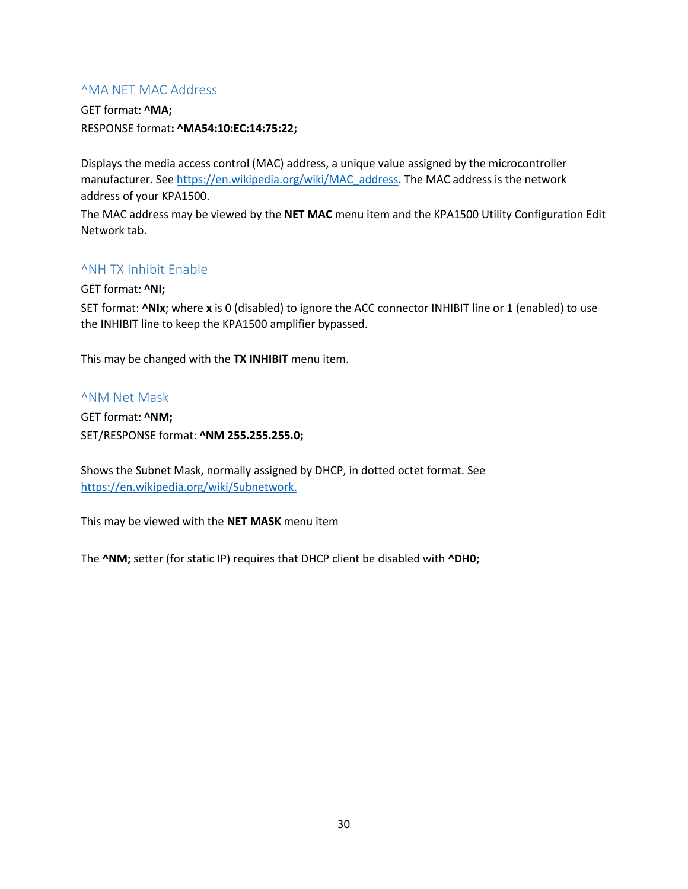#### <span id="page-29-0"></span>^MA NET MAC Address

GET format: **^MA;** RESPONSE format**: ^MA54:10:EC:14:75:22;**

Displays the media access control (MAC) address, a unique value assigned by the microcontroller manufacturer. See [https://en.wikipedia.org/wiki/MAC\\_address.](https://en.wikipedia.org/wiki/MAC_address) The MAC address is the network address of your KPA1500.

The MAC address may be viewed by the **NET MAC** menu item and the KPA1500 Utility Configuration Edit Network tab.

#### <span id="page-29-1"></span>^NH TX Inhibit Enable

GET format: **^NI;**

SET format: **^NIx**; where **x** is 0 (disabled) to ignore the ACC connector INHIBIT line or 1 (enabled) to use the INHIBIT line to keep the KPA1500 amplifier bypassed.

This may be changed with the **TX INHIBIT** menu item.

#### <span id="page-29-2"></span>^NM Net Mask

GET format: **^NM;** SET/RESPONSE format: **^NM 255.255.255.0;**

Shows the Subnet Mask, normally assigned by DHCP, in dotted octet format. See [https://en.wikipedia.org/wiki/Subnetwork.](https://en.wikipedia.org/wiki/Subnetwork)

This may be viewed with the **NET MASK** menu item

The **^NM;** setter (for static IP) requires that DHCP client be disabled with **^DH0;**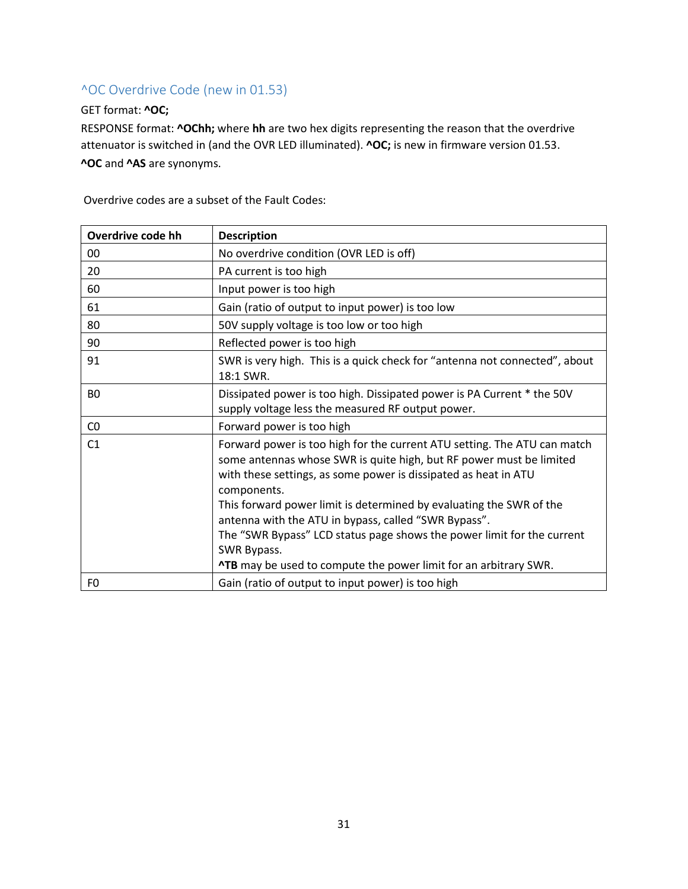## <span id="page-30-0"></span>^OC Overdrive Code (new in 01.53)

#### GET format: **^OC;**

RESPONSE format: **^OChh;** where **hh** are two hex digits representing the reason that the overdrive attenuator is switched in (and the OVR LED illuminated). **^OC;** is new in firmware version 01.53. **^OC** and **^AS** are synonyms.

| Overdrive code hh | <b>Description</b>                                                                                                                                                                                                                |
|-------------------|-----------------------------------------------------------------------------------------------------------------------------------------------------------------------------------------------------------------------------------|
| 00                | No overdrive condition (OVR LED is off)                                                                                                                                                                                           |
| 20                | PA current is too high                                                                                                                                                                                                            |
| 60                | Input power is too high                                                                                                                                                                                                           |
| 61                | Gain (ratio of output to input power) is too low                                                                                                                                                                                  |
| 80                | 50V supply voltage is too low or too high                                                                                                                                                                                         |
| 90                | Reflected power is too high                                                                                                                                                                                                       |
| 91                | SWR is very high. This is a quick check for "antenna not connected", about<br>18:1 SWR.                                                                                                                                           |
| B <sub>0</sub>    | Dissipated power is too high. Dissipated power is PA Current * the 50V<br>supply voltage less the measured RF output power.                                                                                                       |
| CO                | Forward power is too high                                                                                                                                                                                                         |
| C <sub>1</sub>    | Forward power is too high for the current ATU setting. The ATU can match<br>some antennas whose SWR is quite high, but RF power must be limited<br>with these settings, as some power is dissipated as heat in ATU<br>components. |
|                   | This forward power limit is determined by evaluating the SWR of the<br>antenna with the ATU in bypass, called "SWR Bypass".                                                                                                       |
|                   | The "SWR Bypass" LCD status page shows the power limit for the current<br>SWR Bypass.                                                                                                                                             |
|                   | <b>^TB</b> may be used to compute the power limit for an arbitrary SWR.                                                                                                                                                           |
| F <sub>0</sub>    | Gain (ratio of output to input power) is too high                                                                                                                                                                                 |

Overdrive codes are a subset of the Fault Codes: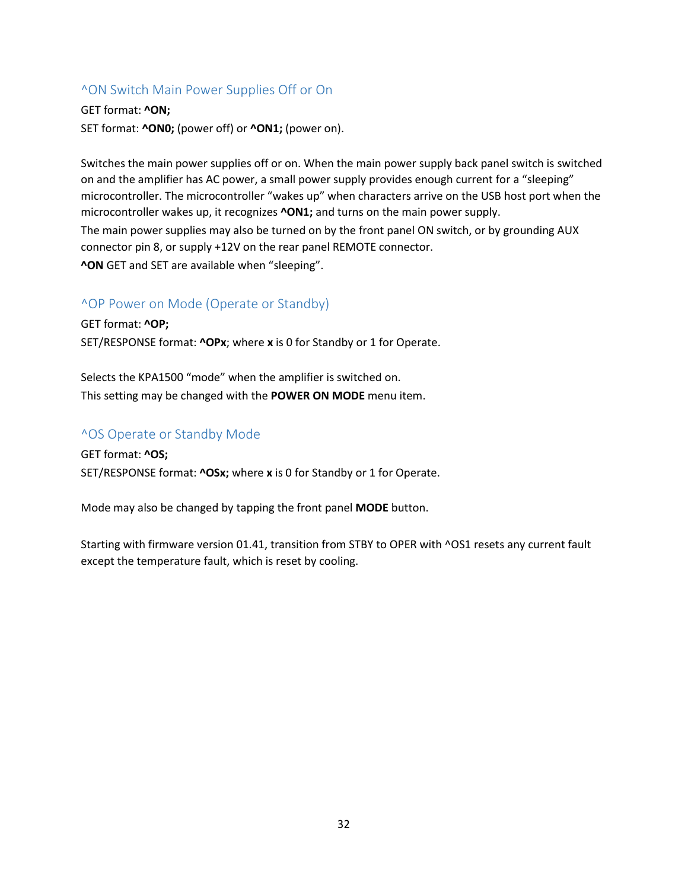#### <span id="page-31-0"></span>^ON Switch Main Power Supplies Off or On

#### GET format: **^ON;**

SET format: **^ON0;** (power off) or **^ON1;** (power on).

Switches the main power supplies off or on. When the main power supply back panel switch is switched on and the amplifier has AC power, a small power supply provides enough current for a "sleeping" microcontroller. The microcontroller "wakes up" when characters arrive on the USB host port when the microcontroller wakes up, it recognizes **^ON1;** and turns on the main power supply.

The main power supplies may also be turned on by the front panel ON switch, or by grounding AUX connector pin 8, or supply +12V on the rear panel REMOTE connector. **^ON** GET and SET are available when "sleeping".

#### <span id="page-31-1"></span>^OP Power on Mode (Operate or Standby)

GET format: **^OP;** SET/RESPONSE format: **^OPx**; where **x** is 0 for Standby or 1 for Operate.

Selects the KPA1500 "mode" when the amplifier is switched on. This setting may be changed with the **POWER ON MODE** menu item.

#### <span id="page-31-2"></span>^OS Operate or Standby Mode

GET format: **^OS;** SET/RESPONSE format: **^OSx;** where **x** is 0 for Standby or 1 for Operate.

Mode may also be changed by tapping the front panel **MODE** button.

Starting with firmware version 01.41, transition from STBY to OPER with ^OS1 resets any current fault except the temperature fault, which is reset by cooling.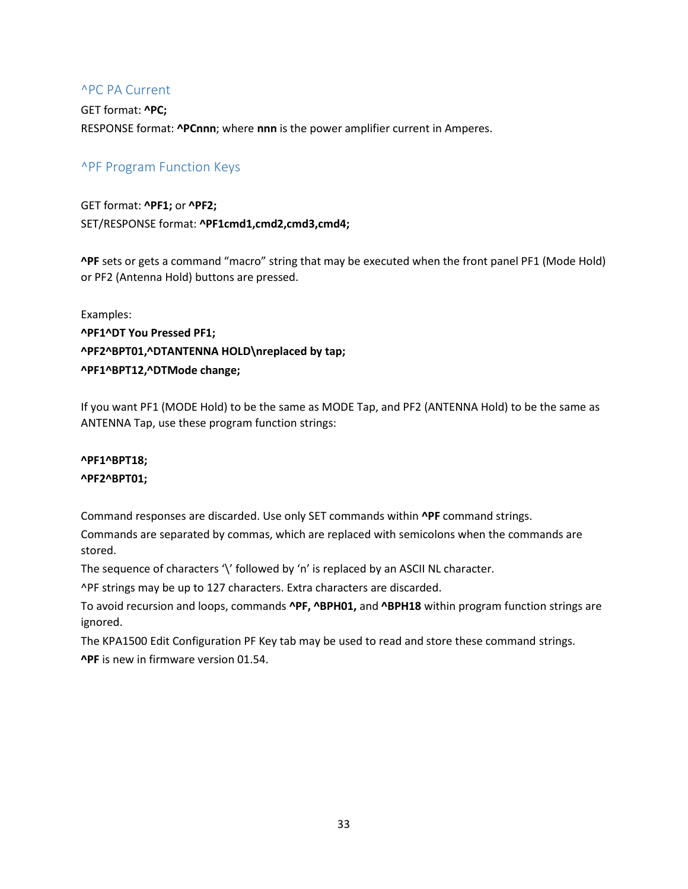#### <span id="page-32-0"></span>^PC PA Current

GET format: **^PC;** RESPONSE format: **^PCnnn**; where **nnn** is the power amplifier current in Amperes.

## <span id="page-32-1"></span>^PF Program Function Keys

GET format: **^PF1;** or **^PF2;** SET/RESPONSE format: **^PF1cmd1,cmd2,cmd3,cmd4;**

**^PF** sets or gets a command "macro" string that may be executed when the front panel PF1 (Mode Hold) or PF2 (Antenna Hold) buttons are pressed.

Examples: **^PF1^DT You Pressed PF1; ^PF2^BPT01,^DTANTENNA HOLD\nreplaced by tap; ^PF1^BPT12,^DTMode change;**

If you want PF1 (MODE Hold) to be the same as MODE Tap, and PF2 (ANTENNA Hold) to be the same as ANTENNA Tap, use these program function strings:

#### **^PF1^BPT18;**

#### **^PF2^BPT01;**

Command responses are discarded. Use only SET commands within **^PF** command strings.

Commands are separated by commas, which are replaced with semicolons when the commands are stored.

The sequence of characters '\' followed by 'n' is replaced by an ASCII NL character.

^PF strings may be up to 127 characters. Extra characters are discarded.

To avoid recursion and loops, commands **^PF, ^BPH01,** and **^BPH18** within program function strings are ignored.

The KPA1500 Edit Configuration PF Key tab may be used to read and store these command strings. **^PF** is new in firmware version 01.54.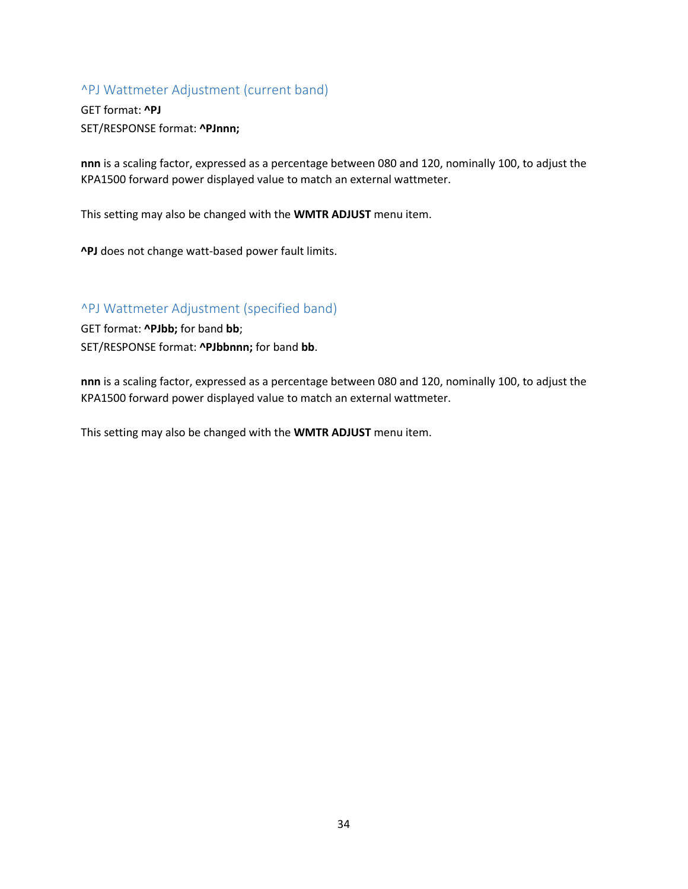## <span id="page-33-0"></span>^PJ Wattmeter Adjustment (current band)

GET format: **^PJ** SET/RESPONSE format: **^PJnnn;**

**nnn** is a scaling factor, expressed as a percentage between 080 and 120, nominally 100, to adjust the KPA1500 forward power displayed value to match an external wattmeter.

This setting may also be changed with the **WMTR ADJUST** menu item.

**^PJ** does not change watt-based power fault limits.

#### <span id="page-33-1"></span>^PJ Wattmeter Adjustment (specified band)

GET format: **^PJbb;** for band **bb**;

SET/RESPONSE format: **^PJbbnnn;** for band **bb**.

**nnn** is a scaling factor, expressed as a percentage between 080 and 120, nominally 100, to adjust the KPA1500 forward power displayed value to match an external wattmeter.

This setting may also be changed with the **WMTR ADJUST** menu item.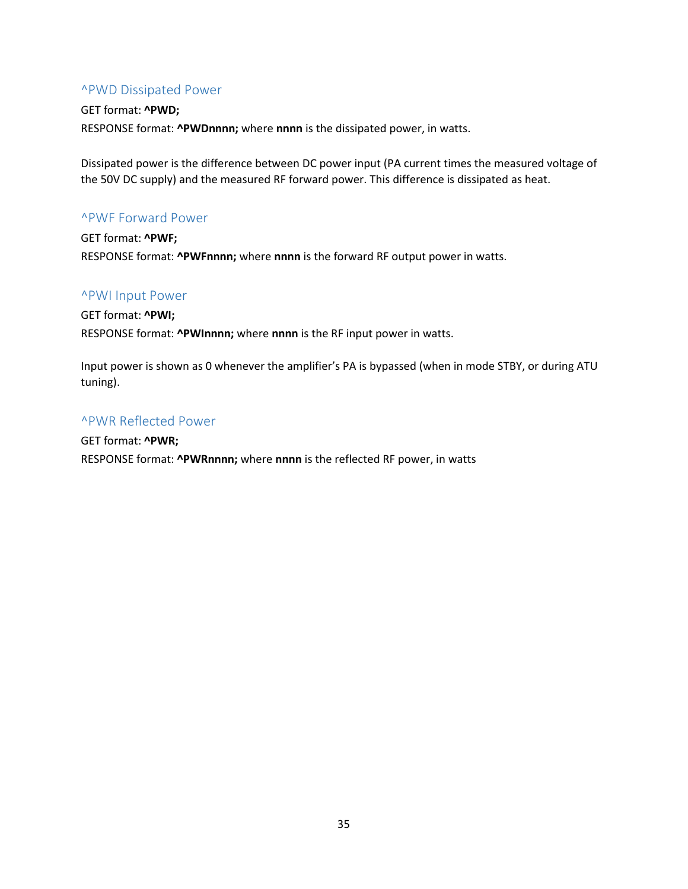#### <span id="page-34-0"></span>^PWD Dissipated Power

#### GET format: **^PWD;** RESPONSE format: **^PWDnnnn;** where **nnnn** is the dissipated power, in watts.

Dissipated power is the difference between DC power input (PA current times the measured voltage of the 50V DC supply) and the measured RF forward power. This difference is dissipated as heat.

#### <span id="page-34-1"></span>^PWF Forward Power

GET format: **^PWF;** RESPONSE format: **^PWFnnnn;** where **nnnn** is the forward RF output power in watts.

#### <span id="page-34-2"></span>^PWI Input Power

GET format: **^PWI;** RESPONSE format: **^PWInnnn;** where **nnnn** is the RF input power in watts.

Input power is shown as 0 whenever the amplifier's PA is bypassed (when in mode STBY, or during ATU tuning).

## <span id="page-34-3"></span>^PWR Reflected Power

GET format: **^PWR;** RESPONSE format: **^PWRnnnn;** where **nnnn** is the reflected RF power, in watts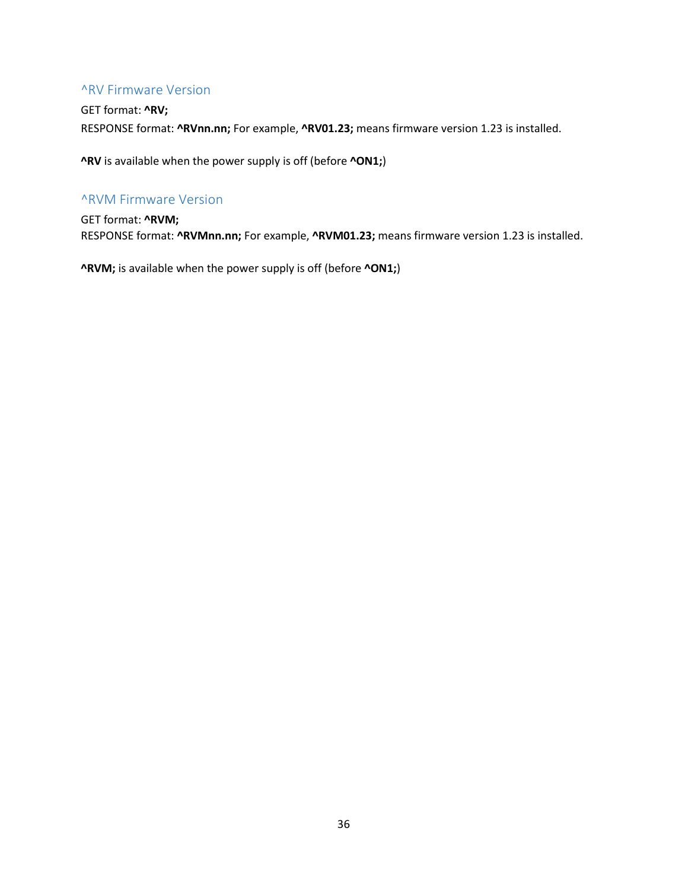#### <span id="page-35-0"></span>^RV Firmware Version

GET format: **^RV;** RESPONSE format: **^RVnn.nn;** For example, **^RV01.23;** means firmware version 1.23 is installed.

**^RV** is available when the power supply is off (before **^ON1;**)

#### <span id="page-35-1"></span>^RVM Firmware Version

GET format: **^RVM;** RESPONSE format: **^RVMnn.nn;** For example, **^RVM01.23;** means firmware version 1.23 is installed.

**^RVM;** is available when the power supply is off (before **^ON1;**)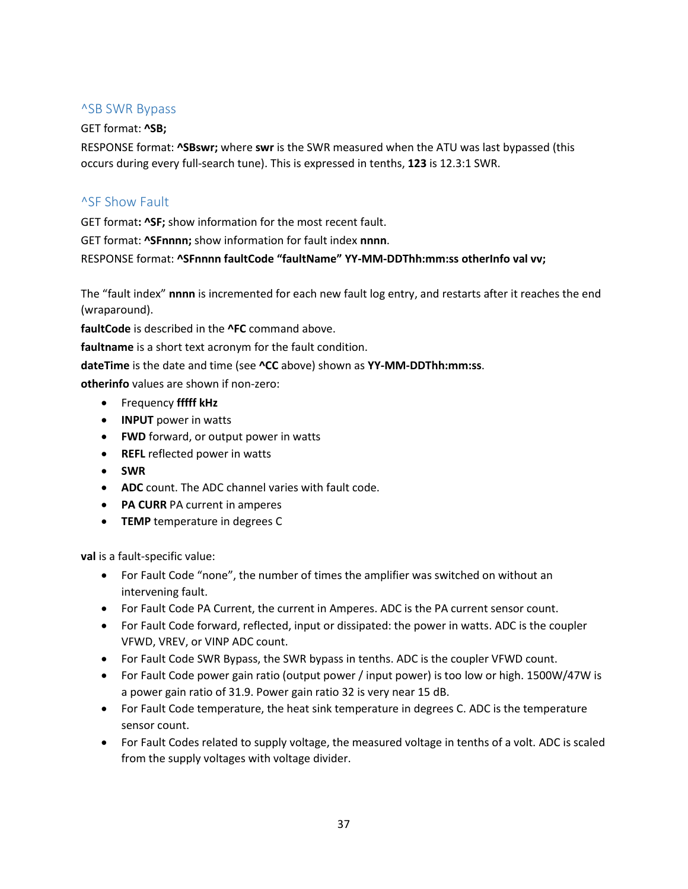#### <span id="page-36-0"></span>^SB SWR Bypass

#### GET format: **^SB;**

RESPONSE format: **^SBswr;** where **swr** is the SWR measured when the ATU was last bypassed (this occurs during every full-search tune). This is expressed in tenths, **123** is 12.3:1 SWR.

#### <span id="page-36-1"></span>^SF Show Fault

GET format**: ^SF;** show information for the most recent fault.

GET format: **^SFnnnn;** show information for fault index **nnnn**.

RESPONSE format: **^SFnnnn faultCode "faultName" YY-MM-DDThh:mm:ss otherInfo val vv;** 

The "fault index" **nnnn** is incremented for each new fault log entry, and restarts after it reaches the end (wraparound).

**faultCode** is described in the **^FC** command above.

**faultname** is a short text acronym for the fault condition.

**dateTime** is the date and time (see **^CC** above) shown as **YY-MM-DDThh:mm:ss**.

**otherinfo** values are shown if non-zero:

- Frequency **fffff kHz**
- **INPUT** power in watts
- **FWD** forward, or output power in watts
- **REFL** reflected power in watts
- **SWR**
- **ADC** count. The ADC channel varies with fault code.
- **PA CURR** PA current in amperes
- **TEMP** temperature in degrees C

**val** is a fault-specific value:

- For Fault Code "none", the number of times the amplifier was switched on without an intervening fault.
- For Fault Code PA Current, the current in Amperes. ADC is the PA current sensor count.
- For Fault Code forward, reflected, input or dissipated: the power in watts. ADC is the coupler VFWD, VREV, or VINP ADC count.
- For Fault Code SWR Bypass, the SWR bypass in tenths. ADC is the coupler VFWD count.
- For Fault Code power gain ratio (output power / input power) is too low or high. 1500W/47W is a power gain ratio of 31.9. Power gain ratio 32 is very near 15 dB.
- For Fault Code temperature, the heat sink temperature in degrees C. ADC is the temperature sensor count.
- For Fault Codes related to supply voltage, the measured voltage in tenths of a volt. ADC is scaled from the supply voltages with voltage divider.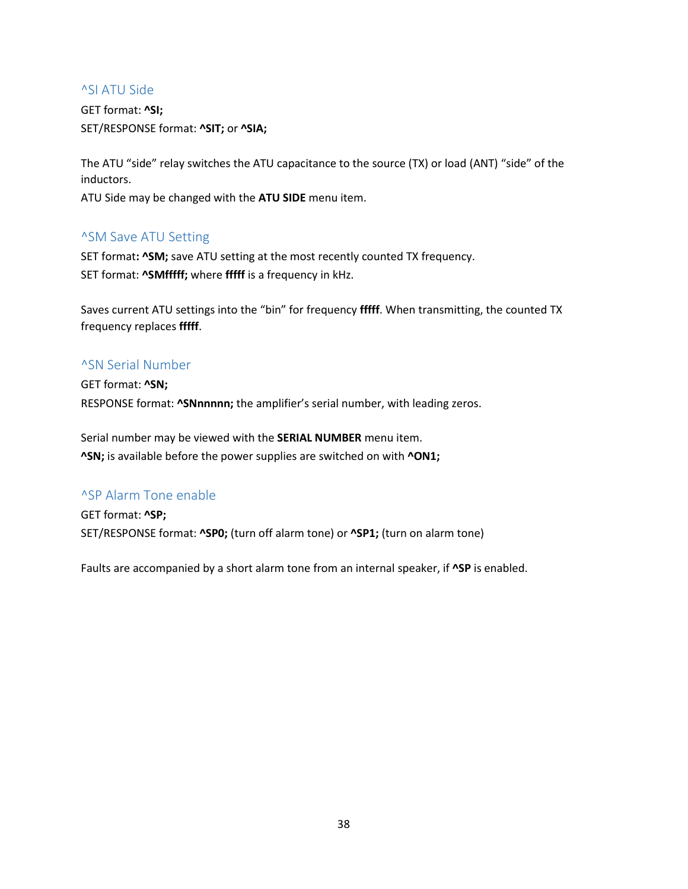#### <span id="page-37-0"></span>^SI ATU Side

GET format: **^SI;** SET/RESPONSE format: **^SIT;** or **^SIA;**

The ATU "side" relay switches the ATU capacitance to the source (TX) or load (ANT) "side" of the inductors.

ATU Side may be changed with the **ATU SIDE** menu item.

#### <span id="page-37-1"></span>^SM Save ATU Setting

SET format**: ^SM;** save ATU setting at the most recently counted TX frequency. SET format: **^SMfffff;** where **fffff** is a frequency in kHz.

Saves current ATU settings into the "bin" for frequency **fffff**. When transmitting, the counted TX frequency replaces **fffff**.

#### <span id="page-37-2"></span>^SN Serial Number

GET format: **^SN;** RESPONSE format: **^SNnnnnn;** the amplifier's serial number, with leading zeros.

Serial number may be viewed with the **SERIAL NUMBER** menu item. **^SN;** is available before the power supplies are switched on with **^ON1;**

#### <span id="page-37-3"></span>^SP Alarm Tone enable

GET format: **^SP;** SET/RESPONSE format: **^SP0;** (turn off alarm tone) or **^SP1;** (turn on alarm tone)

Faults are accompanied by a short alarm tone from an internal speaker, if **^SP** is enabled.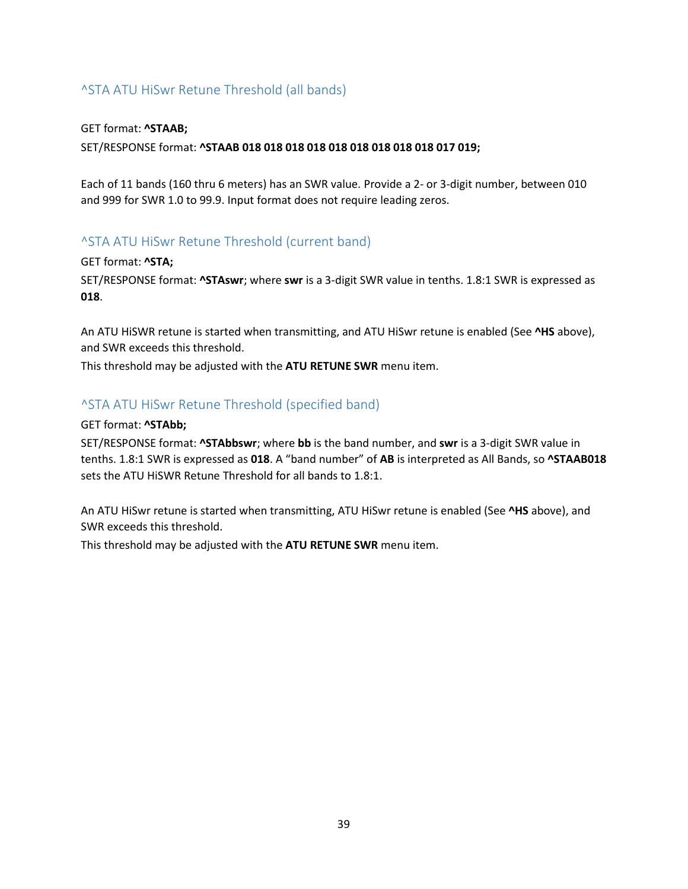## <span id="page-38-0"></span>^STA ATU HiSwr Retune Threshold (all bands)

#### GET format: **^STAAB;**

SET/RESPONSE format: **^STAAB 018 018 018 018 018 018 018 018 018 017 019;** 

Each of 11 bands (160 thru 6 meters) has an SWR value. Provide a 2- or 3-digit number, between 010 and 999 for SWR 1.0 to 99.9. Input format does not require leading zeros.

#### <span id="page-38-1"></span>^STA ATU HiSwr Retune Threshold (current band)

GET format: **^STA;**

SET/RESPONSE format: **^STAswr**; where **swr** is a 3-digit SWR value in tenths. 1.8:1 SWR is expressed as **018**.

An ATU HiSWR retune is started when transmitting, and ATU HiSwr retune is enabled (See **^HS** above), and SWR exceeds this threshold.

This threshold may be adjusted with the **ATU RETUNE SWR** menu item.

#### <span id="page-38-2"></span>^STA ATU HiSwr Retune Threshold (specified band)

#### GET format: **^STAbb;**

SET/RESPONSE format: **^STAbbswr**; where **bb** is the band number, and **swr** is a 3-digit SWR value in tenths. 1.8:1 SWR is expressed as **018**. A "band number" of **AB** is interpreted as All Bands, so **^STAAB018** sets the ATU HiSWR Retune Threshold for all bands to 1.8:1.

An ATU HiSwr retune is started when transmitting, ATU HiSwr retune is enabled (See **^HS** above), and SWR exceeds this threshold.

This threshold may be adjusted with the **ATU RETUNE SWR** menu item.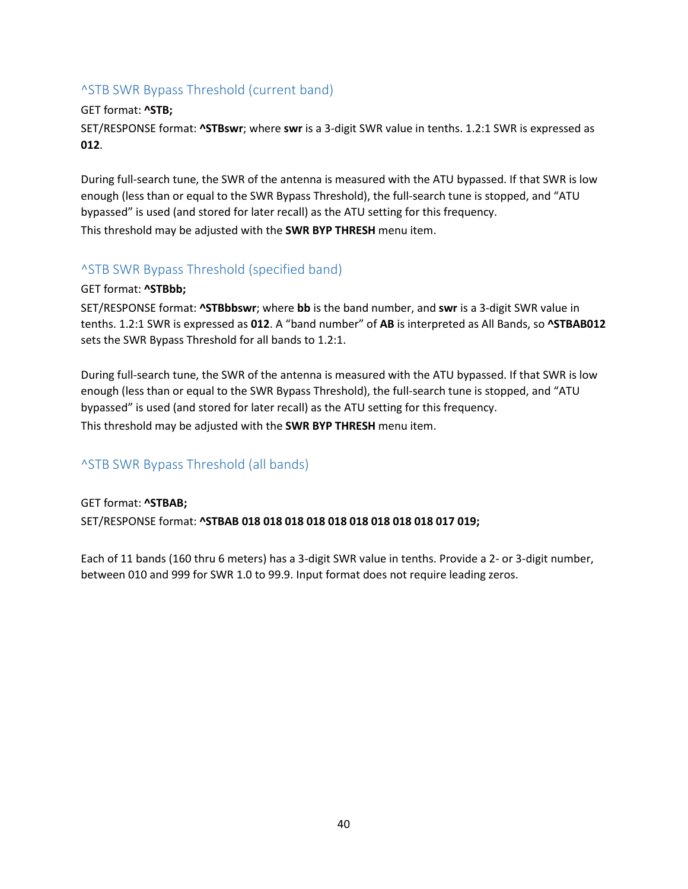## <span id="page-39-0"></span>^STB SWR Bypass Threshold (current band)

#### GET format: **^STB;**

SET/RESPONSE format: **^STBswr**; where **swr** is a 3-digit SWR value in tenths. 1.2:1 SWR is expressed as **012**.

During full-search tune, the SWR of the antenna is measured with the ATU bypassed. If that SWR is low enough (less than or equal to the SWR Bypass Threshold), the full-search tune is stopped, and "ATU bypassed" is used (and stored for later recall) as the ATU setting for this frequency. This threshold may be adjusted with the **SWR BYP THRESH** menu item.

## <span id="page-39-1"></span>^STB SWR Bypass Threshold (specified band)

#### GET format: **^STBbb;**

SET/RESPONSE format: **^STBbbswr**; where **bb** is the band number, and **swr** is a 3-digit SWR value in tenths. 1.2:1 SWR is expressed as **012**. A "band number" of **AB** is interpreted as All Bands, so **^STBAB012** sets the SWR Bypass Threshold for all bands to 1.2:1.

During full-search tune, the SWR of the antenna is measured with the ATU bypassed. If that SWR is low enough (less than or equal to the SWR Bypass Threshold), the full-search tune is stopped, and "ATU bypassed" is used (and stored for later recall) as the ATU setting for this frequency. This threshold may be adjusted with the **SWR BYP THRESH** menu item.

#### <span id="page-39-2"></span>^STB SWR Bypass Threshold (all bands)

# GET format: **^STBAB;** SET/RESPONSE format: **^STBAB 018 018 018 018 018 018 018 018 018 017 019;**

Each of 11 bands (160 thru 6 meters) has a 3-digit SWR value in tenths. Provide a 2- or 3-digit number, between 010 and 999 for SWR 1.0 to 99.9. Input format does not require leading zeros.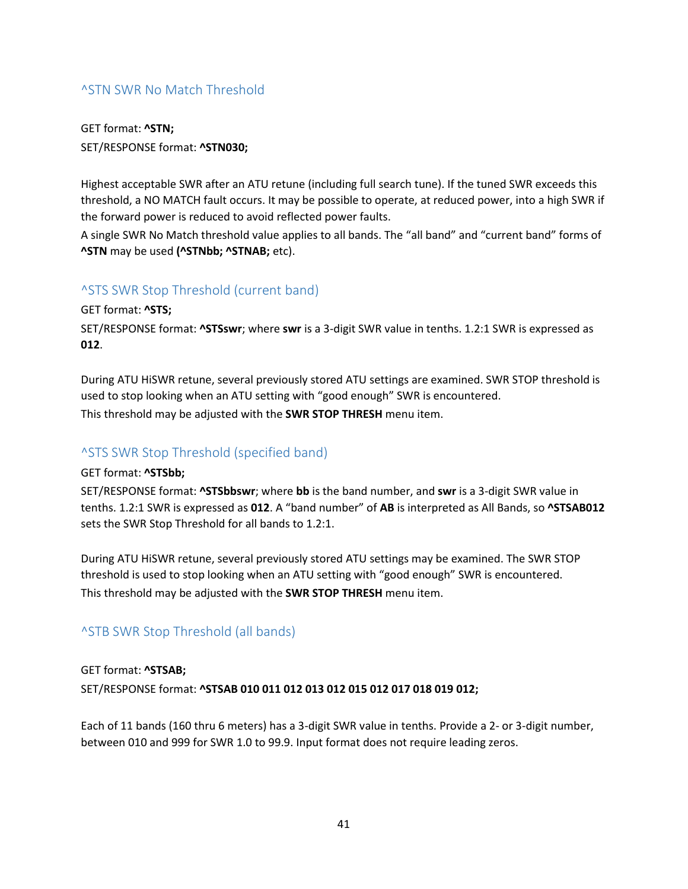## <span id="page-40-0"></span>^STN SWR No Match Threshold

GET format: **^STN;** SET/RESPONSE format: **^STN030;** 

Highest acceptable SWR after an ATU retune (including full search tune). If the tuned SWR exceeds this threshold, a NO MATCH fault occurs. It may be possible to operate, at reduced power, into a high SWR if the forward power is reduced to avoid reflected power faults.

A single SWR No Match threshold value applies to all bands. The "all band" and "current band" forms of **^STN** may be used **(^STNbb; ^STNAB;** etc).

#### <span id="page-40-1"></span>^STS SWR Stop Threshold (current band)

GET format: **^STS;**

SET/RESPONSE format: **^STSswr**; where **swr** is a 3-digit SWR value in tenths. 1.2:1 SWR is expressed as **012**.

During ATU HiSWR retune, several previously stored ATU settings are examined. SWR STOP threshold is used to stop looking when an ATU setting with "good enough" SWR is encountered. This threshold may be adjusted with the **SWR STOP THRESH** menu item.

## <span id="page-40-2"></span>^STS SWR Stop Threshold (specified band)

GET format: **^STSbb;**

SET/RESPONSE format: **^STSbbswr**; where **bb** is the band number, and **swr** is a 3-digit SWR value in tenths. 1.2:1 SWR is expressed as **012**. A "band number" of **AB** is interpreted as All Bands, so **^STSAB012** sets the SWR Stop Threshold for all bands to 1.2:1.

During ATU HiSWR retune, several previously stored ATU settings may be examined. The SWR STOP threshold is used to stop looking when an ATU setting with "good enough" SWR is encountered. This threshold may be adjusted with the **SWR STOP THRESH** menu item.

## <span id="page-40-3"></span>^STB SWR Stop Threshold (all bands)

## GET format: **^STSAB;** SET/RESPONSE format: **^STSAB 010 011 012 013 012 015 012 017 018 019 012;**

Each of 11 bands (160 thru 6 meters) has a 3-digit SWR value in tenths. Provide a 2- or 3-digit number, between 010 and 999 for SWR 1.0 to 99.9. Input format does not require leading zeros.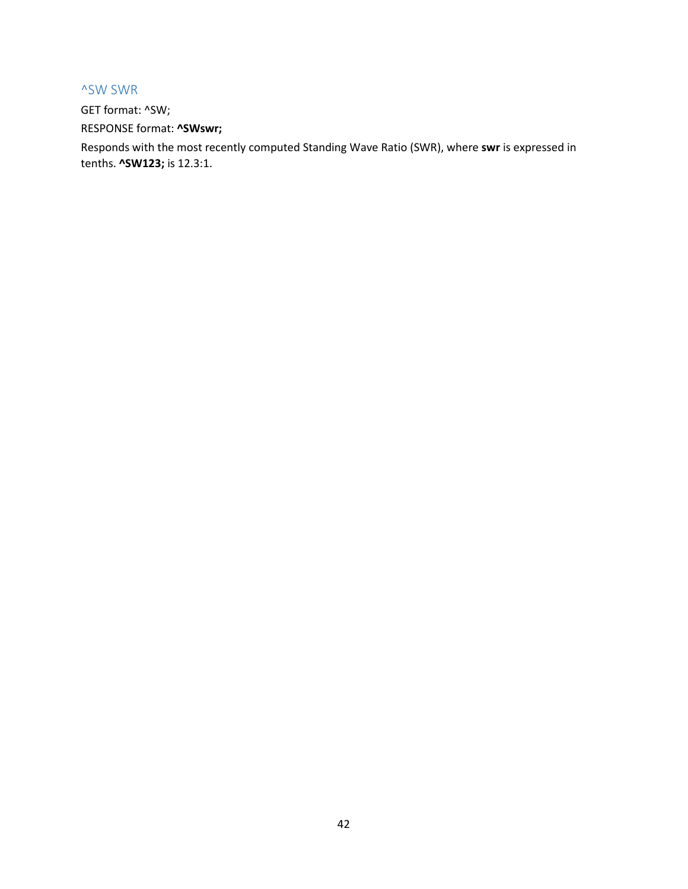#### <span id="page-41-0"></span>^SW SWR

GET format: ^SW; RESPONSE format: **^SWswr;**

Responds with the most recently computed Standing Wave Ratio (SWR), where **swr** is expressed in tenths. **^SW123;** is 12.3:1.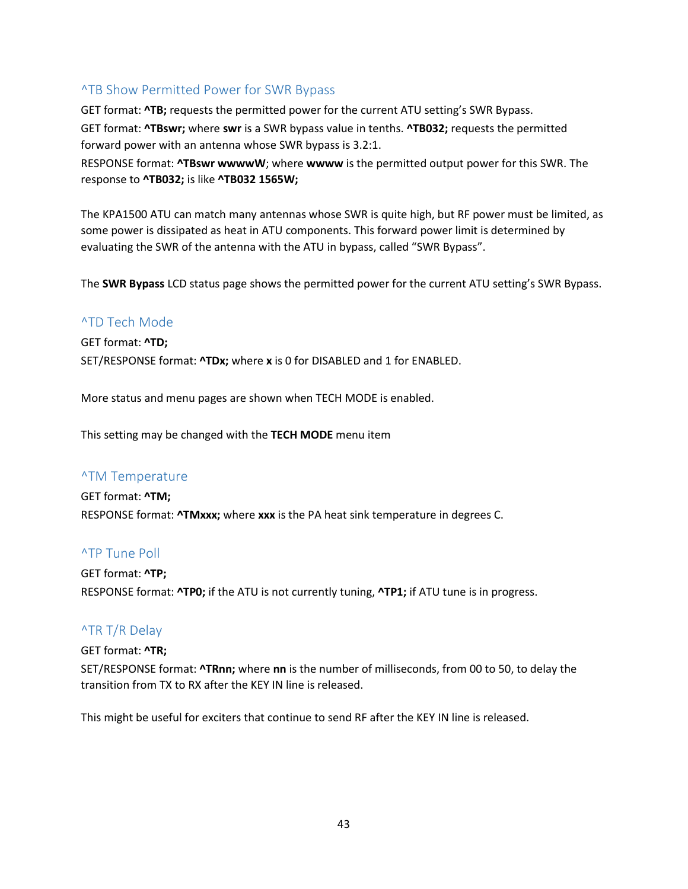#### <span id="page-42-0"></span>^TB Show Permitted Power for SWR Bypass

GET format: **^TB;** requests the permitted power for the current ATU setting's SWR Bypass. GET format: **^TBswr;** where **swr** is a SWR bypass value in tenths. **^TB032;** requests the permitted forward power with an antenna whose SWR bypass is 3.2:1.

RESPONSE format: **^TBswr wwwwW**; where **wwww** is the permitted output power for this SWR. The response to **^TB032;** is like **^TB032 1565W;**

The KPA1500 ATU can match many antennas whose SWR is quite high, but RF power must be limited, as some power is dissipated as heat in ATU components. This forward power limit is determined by evaluating the SWR of the antenna with the ATU in bypass, called "SWR Bypass".

The **SWR Bypass** LCD status page shows the permitted power for the current ATU setting's SWR Bypass.

#### <span id="page-42-1"></span>^TD Tech Mode

GET format: **^TD;** SET/RESPONSE format: **^TDx;** where **x** is 0 for DISABLED and 1 for ENABLED.

More status and menu pages are shown when TECH MODE is enabled.

This setting may be changed with the **TECH MODE** menu item

#### <span id="page-42-2"></span>^TM Temperature

GET format: **^TM;** RESPONSE format: **^TMxxx;** where **xxx** is the PA heat sink temperature in degrees C.

#### <span id="page-42-3"></span>^TP Tune Poll

GET format: **^TP;** RESPONSE format: **^TP0;** if the ATU is not currently tuning, **^TP1;** if ATU tune is in progress.

#### <span id="page-42-4"></span>^TR T/R Delay

#### GET format: **^TR;**

SET/RESPONSE format: **^TRnn;** where **nn** is the number of milliseconds, from 00 to 50, to delay the transition from TX to RX after the KEY IN line is released.

This might be useful for exciters that continue to send RF after the KEY IN line is released.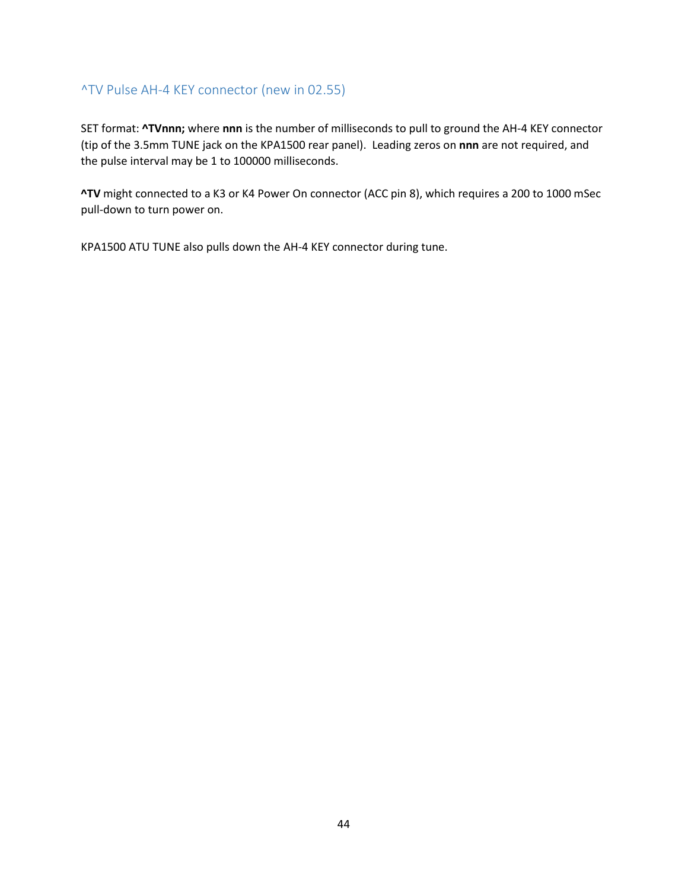#### <span id="page-43-0"></span>^TV Pulse AH-4 KEY connector (new in 02.55)

SET format: **^TVnnn;** where **nnn** is the number of milliseconds to pull to ground the AH-4 KEY connector (tip of the 3.5mm TUNE jack on the KPA1500 rear panel). Leading zeros on **nnn** are not required, and the pulse interval may be 1 to 100000 milliseconds.

**^TV** might connected to a K3 or K4 Power On connector (ACC pin 8), which requires a 200 to 1000 mSec pull-down to turn power on.

KPA1500 ATU TUNE also pulls down the AH-4 KEY connector during tune.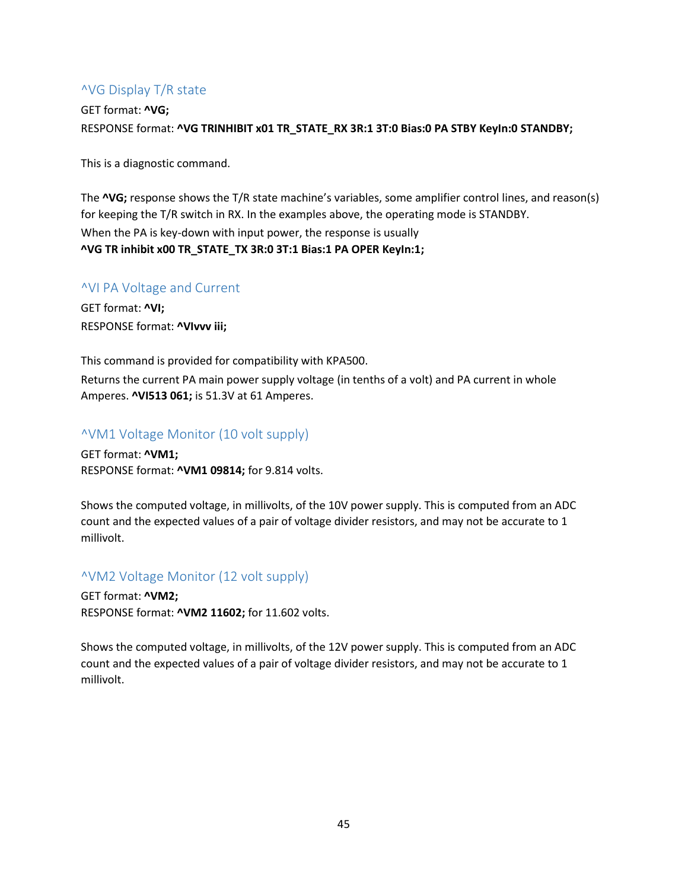## <span id="page-44-0"></span>^VG Display T/R state

GET format: **^VG;** RESPONSE format: **^VG TRINHIBIT x01 TR\_STATE\_RX 3R:1 3T:0 Bias:0 PA STBY KeyIn:0 STANDBY;**

This is a diagnostic command.

The **^VG;** response shows the T/R state machine's variables, some amplifier control lines, and reason(s) for keeping the T/R switch in RX. In the examples above, the operating mode is STANDBY. When the PA is key-down with input power, the response is usually **^VG TR inhibit x00 TR\_STATE\_TX 3R:0 3T:1 Bias:1 PA OPER KeyIn:1;**

#### <span id="page-44-1"></span>^VI PA Voltage and Current

GET format: **^VI;** RESPONSE format: **^VIvvv iii;**

This command is provided for compatibility with KPA500. Returns the current PA main power supply voltage (in tenths of a volt) and PA current in whole Amperes. **^VI513 061;** is 51.3V at 61 Amperes.

#### <span id="page-44-2"></span>^VM1 Voltage Monitor (10 volt supply)

GET format: **^VM1;** RESPONSE format: **^VM1 09814;** for 9.814 volts.

Shows the computed voltage, in millivolts, of the 10V power supply. This is computed from an ADC count and the expected values of a pair of voltage divider resistors, and may not be accurate to 1 millivolt.

#### <span id="page-44-3"></span>^VM2 Voltage Monitor (12 volt supply)

GET format: **^VM2;** RESPONSE format: **^VM2 11602;** for 11.602 volts.

Shows the computed voltage, in millivolts, of the 12V power supply. This is computed from an ADC count and the expected values of a pair of voltage divider resistors, and may not be accurate to 1 millivolt.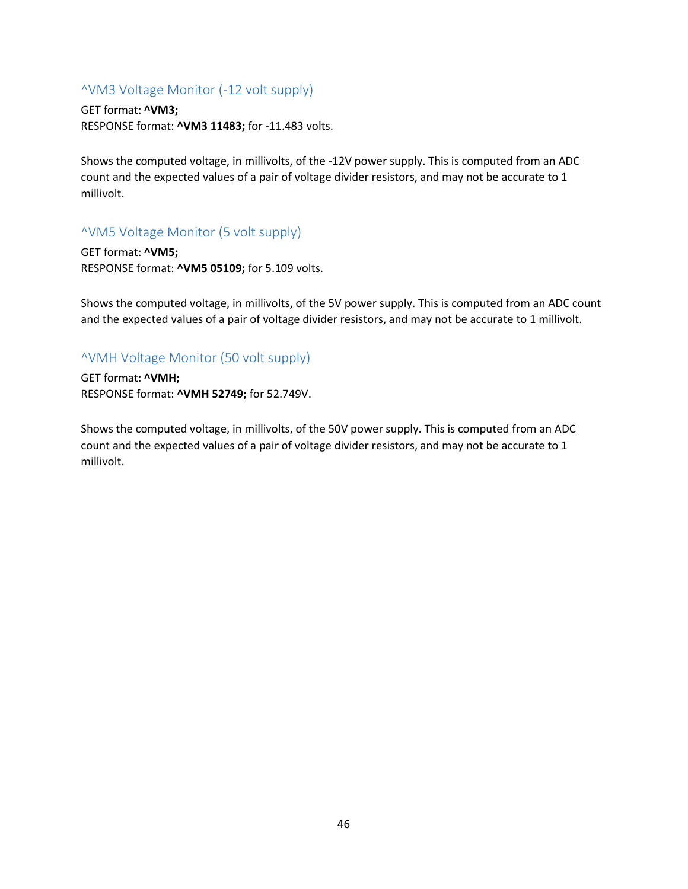#### <span id="page-45-0"></span>^VM3 Voltage Monitor (-12 volt supply)

GET format: **^VM3;** RESPONSE format: **^VM3 11483;** for -11.483 volts.

Shows the computed voltage, in millivolts, of the -12V power supply. This is computed from an ADC count and the expected values of a pair of voltage divider resistors, and may not be accurate to 1 millivolt.

## <span id="page-45-1"></span>^VM5 Voltage Monitor (5 volt supply)

GET format: **^VM5;** RESPONSE format: **^VM5 05109;** for 5.109 volts.

Shows the computed voltage, in millivolts, of the 5V power supply. This is computed from an ADC count and the expected values of a pair of voltage divider resistors, and may not be accurate to 1 millivolt.

## <span id="page-45-2"></span>^VMH Voltage Monitor (50 volt supply)

GET format: **^VMH;** RESPONSE format: **^VMH 52749;** for 52.749V.

Shows the computed voltage, in millivolts, of the 50V power supply. This is computed from an ADC count and the expected values of a pair of voltage divider resistors, and may not be accurate to 1 millivolt.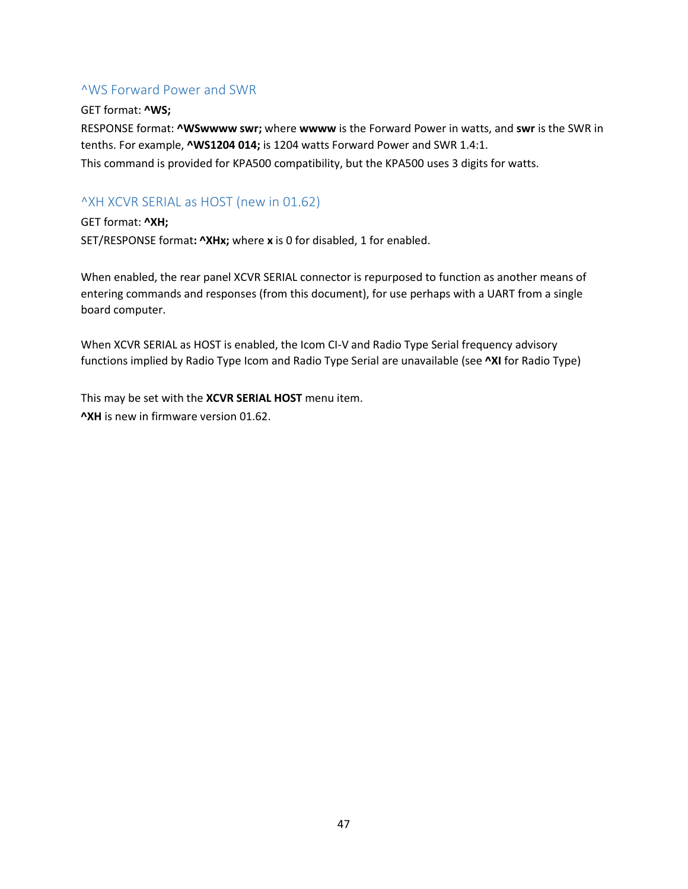#### <span id="page-46-0"></span>^WS Forward Power and SWR

#### GET format: **^WS;**

RESPONSE format: **^WSwwww swr;** where **wwww** is the Forward Power in watts, and **swr** is the SWR in tenths. For example, **^WS1204 014;** is 1204 watts Forward Power and SWR 1.4:1. This command is provided for KPA500 compatibility, but the KPA500 uses 3 digits for watts.

## <span id="page-46-1"></span>^XH XCVR SERIAL as HOST (new in 01.62)

GET format: **^XH;** SET/RESPONSE format**: ^XHx;** where **x** is 0 for disabled, 1 for enabled.

When enabled, the rear panel XCVR SERIAL connector is repurposed to function as another means of entering commands and responses (from this document), for use perhaps with a UART from a single board computer.

When XCVR SERIAL as HOST is enabled, the Icom CI-V and Radio Type Serial frequency advisory functions implied by Radio Type Icom and Radio Type Serial are unavailable (see **^XI** for Radio Type)

This may be set with the **XCVR SERIAL HOST** menu item. **^XH** is new in firmware version 01.62.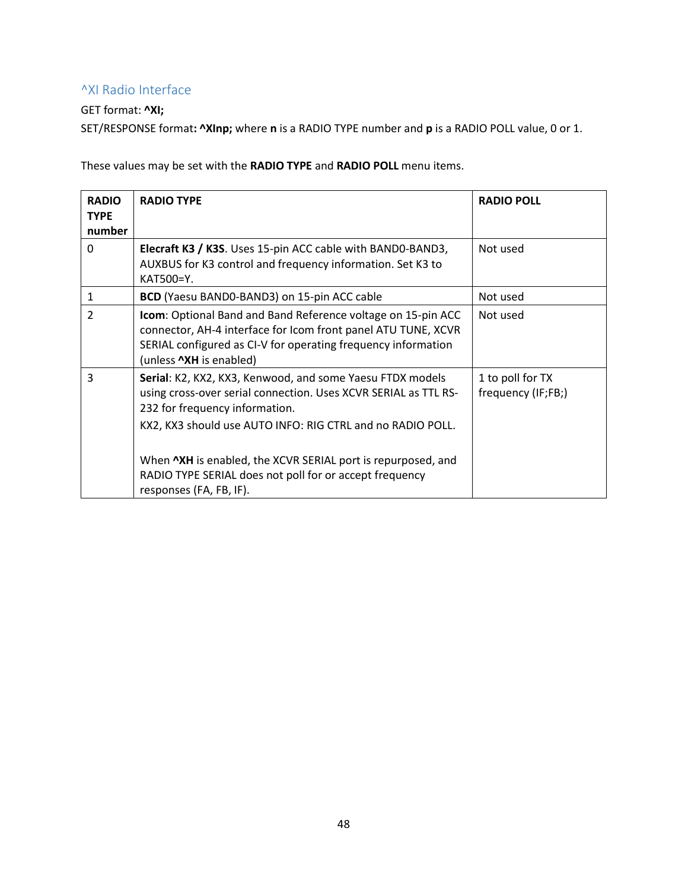## <span id="page-47-0"></span>^XI Radio Interface

#### GET format: **^XI;**

SET/RESPONSE format**: ^XInp;** where **n** is a RADIO TYPE number and **p** is a RADIO POLL value, 0 or 1.

These values may be set with the **RADIO TYPE** and **RADIO POLL** menu items.

| <b>RADIO</b><br><b>TYPE</b><br>number | <b>RADIO TYPE</b>                                                                                                                                                                                                                                                                                                                                                                  | <b>RADIO POLL</b>                      |
|---------------------------------------|------------------------------------------------------------------------------------------------------------------------------------------------------------------------------------------------------------------------------------------------------------------------------------------------------------------------------------------------------------------------------------|----------------------------------------|
| $\mathbf{0}$                          | Elecraft K3 / K3S. Uses 15-pin ACC cable with BAND0-BAND3,<br>AUXBUS for K3 control and frequency information. Set K3 to<br>KAT500=Y.                                                                                                                                                                                                                                              | Not used                               |
| 1                                     | BCD (Yaesu BAND0-BAND3) on 15-pin ACC cable                                                                                                                                                                                                                                                                                                                                        | Not used                               |
| $\overline{2}$                        | Icom: Optional Band and Band Reference voltage on 15-pin ACC<br>connector, AH-4 interface for Icom front panel ATU TUNE, XCVR<br>SERIAL configured as CI-V for operating frequency information<br>(unless <b>^XH</b> is enabled)                                                                                                                                                   | Not used                               |
| 3                                     | Serial: K2, KX2, KX3, Kenwood, and some Yaesu FTDX models<br>using cross-over serial connection. Uses XCVR SERIAL as TTL RS-<br>232 for frequency information.<br>KX2, KX3 should use AUTO INFO: RIG CTRL and no RADIO POLL.<br>When NXH is enabled, the XCVR SERIAL port is repurposed, and<br>RADIO TYPE SERIAL does not poll for or accept frequency<br>responses (FA, FB, IF). | 1 to poll for TX<br>frequency (IF;FB;) |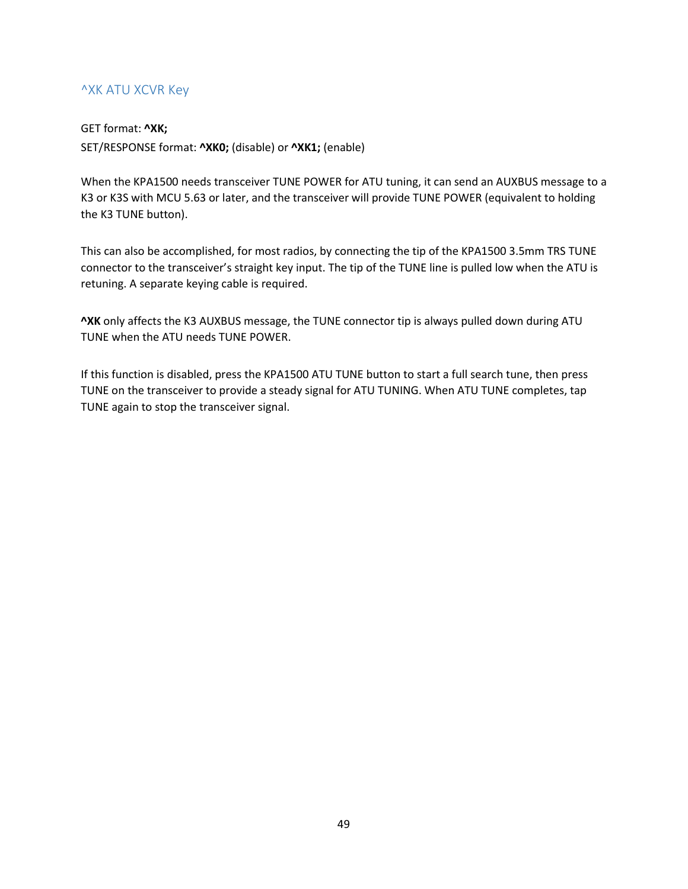## <span id="page-48-0"></span>^XK ATU XCVR Key

#### GET format: **^XK;**

SET/RESPONSE format: **^XK0;** (disable) or **^XK1;** (enable)

When the KPA1500 needs transceiver TUNE POWER for ATU tuning, it can send an AUXBUS message to a K3 or K3S with MCU 5.63 or later, and the transceiver will provide TUNE POWER (equivalent to holding the K3 TUNE button).

This can also be accomplished, for most radios, by connecting the tip of the KPA1500 3.5mm TRS TUNE connector to the transceiver's straight key input. The tip of the TUNE line is pulled low when the ATU is retuning. A separate keying cable is required.

**^XK** only affects the K3 AUXBUS message, the TUNE connector tip is always pulled down during ATU TUNE when the ATU needs TUNE POWER.

If this function is disabled, press the KPA1500 ATU TUNE button to start a full search tune, then press TUNE on the transceiver to provide a steady signal for ATU TUNING. When ATU TUNE completes, tap TUNE again to stop the transceiver signal.